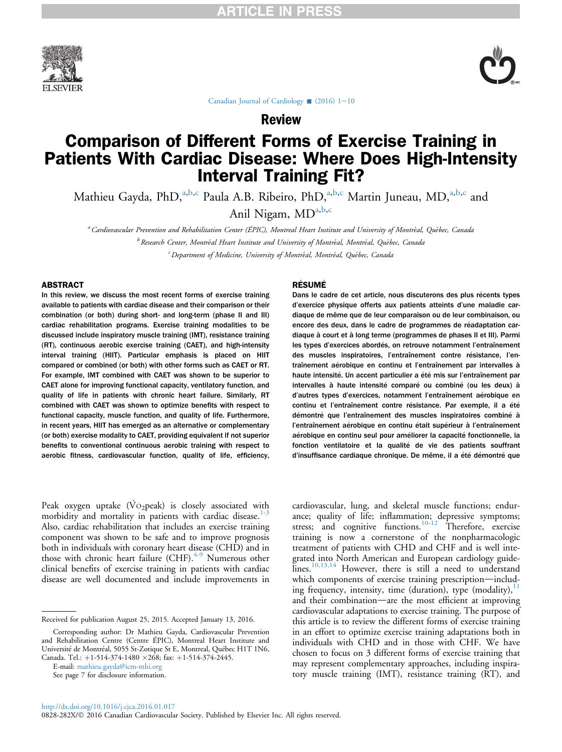



[Canadian Journal of Cardiology](http://dx.doi.org/10.1016/j.cjca.2016.01.017)  $(2016)$  1[-](http://dx.doi.org/10.1016/j.cjca.2016.01.017)[10](http://dx.doi.org/10.1016/j.cjca.2016.01.017)

Review

# Comparison of Different Forms of Exercise Training in Patients With Cardiac Disease: Where Does High-Intensity Interval Training Fit?

Mathieu Gayda, PhD,<sup>a,b,c</sup> Paula A.B. Ribeiro, PhD,<sup>a,b,c</sup> Martin Juneau, MD,<sup>a,b,c</sup> and

Anil Nigam,  $MD^{a,b,c}$ 

a Cardiovascular Prevention and Rehabilitation Center (ÉPIC), Montreal Heart Institute and University of Montreal, Quebec, Canada  $^b$  Research Center, Montréal Heart Institute and University of Montréal, Montréal, Québec, Canada  $\epsilon$  Department of Medicine, University of Montréal, Montréal, Québec, Canada

#### ABSTRACT

In this review, we discuss the most recent forms of exercise training available to patients with cardiac disease and their comparison or their combination (or both) during short- and long-term (phase II and III) cardiac rehabilitation programs. Exercise training modalities to be discussed include inspiratory muscle training (IMT), resistance training (RT), continuous aerobic exercise training (CAET), and high-intensity interval training (HIIT). Particular emphasis is placed on HIIT compared or combined (or both) with other forms such as CAET or RT. For example, IMT combined with CAET was shown to be superior to CAET alone for improving functional capacity, ventilatory function, and quality of life in patients with chronic heart failure. Similarly, RT combined with CAET was shown to optimize benefits with respect to functional capacity, muscle function, and quality of life. Furthermore, in recent years, HIIT has emerged as an alternative or complementary (or both) exercise modality to CAET, providing equivalent if not superior benefits to conventional continuous aerobic training with respect to aerobic fitness, cardiovascular function, quality of life, efficiency,

#### **RÉSUMÉ**

Dans le cadre de cet article, nous discuterons des plus récents types d'exercice physique offerts aux patients atteints d'une maladie cardiaque de même que de leur comparaison ou de leur combinaison, ou encore des deux, dans le cadre de programmes de réadaptation cardiaque à court et à long terme (programmes de phases II et III). Parmi les types d'exercices abordés, on retrouve notamment l'entraînement des muscles inspiratoires, l'entraînement contre résistance, l'entraînement aérobique en continu et l'entraînement par intervalles à haute intensité. Un accent particulier a été mis sur l'entraînement par intervalles à haute intensité comparé ou combiné (ou les deux) à d'autres types d'exercices, notamment l'entraînement aérobique en continu et l'entraînement contre résistance. Par exemple, il a été démontré que l'entraînement des muscles inspiratoires combiné à l'entraînement aérobique en continu était supérieur à l'entraînement aérobique en continu seul pour améliorer la capacité fonctionnelle, la fonction ventilatoire et la qualité de vie des patients souffrant d'insuffisance cardiaque chronique. De même, il a été démontré que

Peak oxygen uptake ( $\rm\dot{Vo}_2$ peak) is closely associated with morbidity and mortality in patients with cardiac disease. $1-3$ Also, cardiac rehabilitation that includes an exercise training component was shown to be safe and to improve prognosis both in individuals with coronary heart disease (CHD) and in those with chronic heart failure  $(CHF)$ .<sup>[4-9](#page-6-0)</sup> Numerous other clinical benefits of exercise training in patients with cardiac disease are well documented and include improvements in

E-mail: [mathieu.gayda@icm-mhi.org](mailto:mathieu.gayda@icm-mhi.org)

See page 7 for disclosure information.

cardiovascular, lung, and skeletal muscle functions; endurance; quality of life; inflammation; depressive symptoms; stress; and cognitive functions.<sup>[10-12](#page-6-0)</sup> Therefore, exercise training is now a cornerstone of the nonpharmacologic treatment of patients with CHD and CHF and is well integrated into North American and European cardiology guide- $\lim_{n \to \infty}$   $\frac{10,13,14}{n}$  $\frac{10,13,14}{n}$  $\frac{10,13,14}{n}$  However, there is still a need to understand which components of exercise training prescription-including frequency, intensity, time (duration), type (modality), $<sup>11</sup>$  $<sup>11</sup>$  $<sup>11</sup>$ </sup> and their combination—are the most efficient at improving cardiovascular adaptations to exercise training. The purpose of this article is to review the different forms of exercise training in an effort to optimize exercise training adaptations both in individuals with CHD and in those with CHF. We have chosen to focus on 3 different forms of exercise training that may represent complementary approaches, including inspiratory muscle training (IMT), resistance training (RT), and

Received for publication August 25, 2015. Accepted January 13, 2016.

Corresponding author: Dr Mathieu Gayda, Cardiovascular Prevention and Rehabilitation Centre (Centre ÉPIC), Montreal Heart Institute and Universite de Montreal, 5055 St-Zotique St E, Montreal, Quebec H1T 1N6, Canada. Tel.: +1-514-374-1480 × 268; fax: +1-514-374-2445.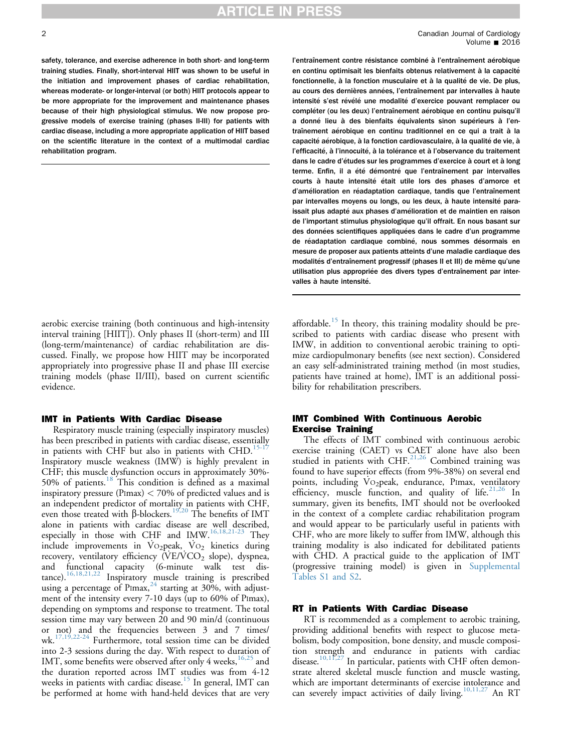safety, tolerance, and exercise adherence in both short- and long-term training studies. Finally, short-interval HIIT was shown to be useful in the initiation and improvement phases of cardiac rehabilitation, whereas moderate- or longer-interval (or both) HIIT protocols appear to be more appropriate for the improvement and maintenance phases because of their high physiological stimulus. We now propose progressive models of exercise training (phases II-III) for patients with cardiac disease, including a more appropriate application of HIIT based on the scientific literature in the context of a multimodal cardiac rehabilitation program.

aerobic exercise training (both continuous and high-intensity interval training [HIIT]). Only phases II (short-term) and III (long-term/maintenance) of cardiac rehabilitation are discussed. Finally, we propose how HIIT may be incorporated appropriately into progressive phase II and phase III exercise training models (phase II/III), based on current scientific evidence.

#### IMT in Patients With Cardiac Disease

Respiratory muscle training (especially inspiratory muscles) has been prescribed in patients with cardiac disease, essentially in patients with CHF but also in patients with CHD.<sup>15-1</sup> Inspiratory muscle weakness (IMW) is highly prevalent in CHF; this muscle dysfunction occurs in approximately 30%- 50% of patients.[18](#page-6-0) This condition is defined as a maximal inspiratory pressure (PImax)  $<$  70% of predicted values and is an independent predictor of mortality in patients with CHF, even those treated with  $\beta$ -blockers.<sup>[19,20](#page-6-0)</sup> The benefits of IMT alone in patients with cardiac disease are well described, especially in those with CHF and IMW[.16,18,21-23](#page-6-0) They include improvements in  $Vo_2$  peak,  $Vo_2$  kinetics during recovery, ventilatory efficiency  $(VE/VCO_2)$  slope), dyspnea,<br>and functional capacity (6-minute walk test disfunctional capacity (6-minute walk test distance).<sup>16,18,21,22</sup> Inspiratory muscle training is prescribed using a percentage of PImax,<sup>[24](#page-7-0)</sup> starting at 30%, with adjustment of the intensity every 7-10 days (up to 60% of Pimax), depending on symptoms and response to treatment. The total session time may vary between 20 and 90 min/d (continuous or not) and the frequencies between 3 and 7 times/<br>wk.<sup>17,19,22-24</sup> Furthermore, total session time can be divided <sup>24</sup> Furthermore, total session time can be divided into 2-3 sessions during the day. With respect to duration of IMT, some benefits were observed after only 4 weeks,  $16,25$  and the duration reported across IMT studies was from 4-12 weeks in patients with cardiac disease.<sup>[15](#page-6-0)</sup> In general, IMT can be performed at home with hand-held devices that are very

l'entraînement contre résistance combiné à l'entraînement aérobique en continu optimisait les bienfaits obtenus relativement à la capacité fonctionnelle, à la fonction musculaire et à la qualité de vie. De plus, au cours des dernières années, l'entraînement par intervalles à haute intensité s'est révélé une modalité d'exercice pouvant remplacer ou compléter (ou les deux) l'entraînement aérobique en continu puisqu'il a donné lieu à des bienfaits équivalents sinon supérieurs à l'entraînement aérobique en continu traditionnel en ce qui a trait à la capacité aérobique, à la fonction cardiovasculaire, à la qualité de vie, à l'efficacité, à l'innocuité, à la tolérance et à l'observance du traitement dans le cadre d'études sur les programmes d'exercice à court et à long terme. Enfin, il a été démontré que l'entraînement par intervalles courts à haute intensité était utile lors des phases d'amorce et d'amélioration en réadaptation cardiaque, tandis que l'entraînement par intervalles moyens ou longs, ou les deux, à haute intensité paraissait plus adapté aux phases d'amélioration et de maintien en raison de l'important stimulus physiologique qu'il offrait. En nous basant sur des données scientifiques appliquées dans le cadre d'un programme de réadaptation cardiaque combiné, nous sommes désormais en mesure de proposer aux patients atteints d'une maladie cardiaque des modalités d'entraînement progressif (phases II et III) de même qu'une utilisation plus appropriée des divers types d'entraînement par intervalles à haute intensité.

affordable.<sup>[15](#page-6-0)</sup> In theory, this training modality should be prescribed to patients with cardiac disease who present with IMW, in addition to conventional aerobic training to optimize cardiopulmonary benefits (see next section). Considered an easy self-administrated training method (in most studies, patients have trained at home), IMT is an additional possibility for rehabilitation prescribers.

#### IMT Combined With Continuous Aerobic Exercise Training

The effects of IMT combined with continuous aerobic exercise training (CAET) vs CAET alone have also been studied in patients with CHF. $^{21,26}$  $^{21,26}$  $^{21,26}$  Combined training was found to have superior effects (from 9%-38%) on several end points, including VO<sub>2</sub>peak, endurance, PImax, ventilatory efficiency, muscle function, and quality of life.<sup>[21,26](#page-7-0)</sup> In summary, given its benefits, IMT should not be overlooked in the context of a complete cardiac rehabilitation program and would appear to be particularly useful in patients with CHF, who are more likely to suffer from IMW, although this training modality is also indicated for debilitated patients with CHD. A practical guide to the application of IMT (progressive training model) is given in Supplemental Tables S1 and S2.

#### RT in Patients With Cardiac Disease

RT is recommended as a complement to aerobic training, providing additional benefits with respect to glucose metabolism, body composition, bone density, and muscle composition strength and endurance in patients with cardiac disease.<sup>[10,11,27](#page-6-0)</sup> In particular, patients with CHF often demonstrate altered skeletal muscle function and muscle wasting, which are important determinants of exercise intolerance and can severely impact activities of daily living.<sup>10,11,27</sup> An RT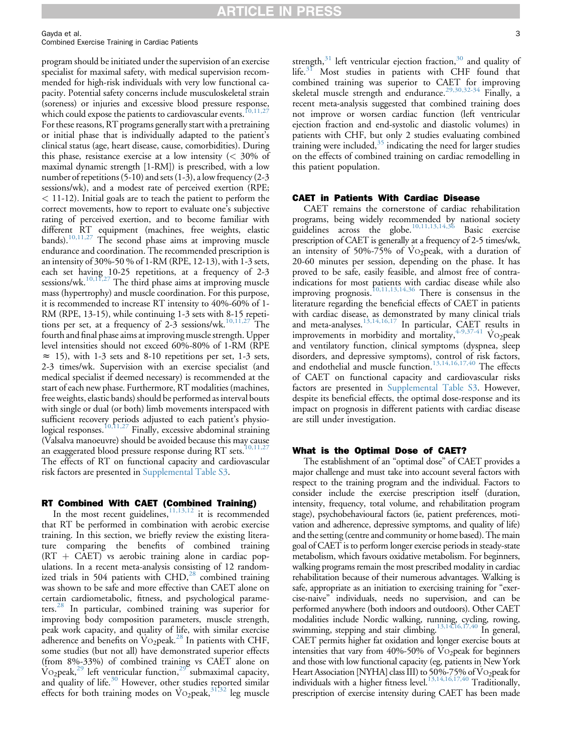Gayda et al. 3

Combined Exercise Training in Cardiac Patients

program should be initiated under the supervision of an exercise specialist for maximal safety, with medical supervision recommended for high-risk individuals with very low functional capacity. Potential safety concerns include musculoskeletal strain (soreness) or injuries and excessive blood pressure response, which could expose the patients to cardiovascular events.<sup>[10,11,27](#page-6-0)</sup> For these reasons, RT programs generally start with a pretraining or initial phase that is individually adapted to the patient's clinical status (age, heart disease, cause, comorbidities). During this phase, resistance exercise at a low intensity  $\approx$  30% of maximal dynamic strength [1-RM]) is prescribed, with a low number of repetitions (5-10) and sets (1-3), a low frequency (2-3 sessions/wk), and a modest rate of perceived exertion (RPE; < 11-12). Initial goals are to teach the patient to perform the correct movements, how to report to evaluate one's subjective rating of perceived exertion, and to become familiar with different RT equipment (machines, free weights, elastic bands).<sup>10,11,27</sup> The second phase aims at improving muscle endurance and coordination. The recommended prescription is an intensity of 30%-50 % of 1-RM (RPE, 12-13), with 1-3 sets, each set having 10-25 repetitions, at a frequency of 2-3 sessions/wk.<sup>10,11,27</sup> The third phase aims at improving muscle mass (hypertrophy) and muscle coordination. For this purpose, it is recommended to increase RT intensity to 40%-60% of 1- RM (RPE, 13-15), while continuing 1-3 sets with 8-15 repetitions per set, at a frequency of  $2-3$  sessions/wk.<sup>[10,11,27](#page-6-0)</sup> The fourth and final phase aims at improving muscle strength. Upper level intensities should not exceed 60%-80% of 1-RM (RPE  $\approx$  15), with 1-3 sets and 8-10 repetitions per set, 1-3 sets, 2-3 times/wk. Supervision with an exercise specialist (and medical specialist if deemed necessary) is recommended at the start of each new phase. Furthermore, RT modalities (machines, free weights, elastic bands) should be performed as interval bouts with single or dual (or both) limb movements interspaced with sufficient recovery periods adjusted to each patient's physiological responses.<sup>10,11,27</sup> Finally, excessive abdominal straining (Valsalva manoeuvre) should be avoided because this may cause an exaggerated blood pressure response during RT sets.<sup>[10,11,27](#page-6-0)</sup> The effects of RT on functional capacity and cardiovascular risk factors are presented in Supplemental Table S3.

#### RT Combined With CAET (Combined Training)

In the most recent guidelines,  $\frac{11,13,12}{11}$  $\frac{11,13,12}{11}$  $\frac{11,13,12}{11}$  it is recommended that RT be performed in combination with aerobic exercise training. In this section, we briefly review the existing literature comparing the benefits of combined training  $(RT + CAET)$  vs aerobic training alone in cardiac populations. In a recent meta-analysis consisting of 12 randomized trials in 504 patients with  $CHD<sub>1</sub><sup>28</sup>$  $CHD<sub>1</sub><sup>28</sup>$  $CHD<sub>1</sub><sup>28</sup>$  combined training was shown to be safe and more effective than CAET alone on certain cardiometabolic, fitness, and psychological parameters.[28](#page-7-0) In particular, combined training was superior for improving body composition parameters, muscle strength, peak work capacity, and quality of life, with similar exercise adherence and benefits on  $\overline{V}$ O<sub>2</sub>peak.<sup>[28](#page-7-0)</sup> In patients with CHF, some studies (but not all) have demonstrated superior effects (from 8%-33%) of combined training vs CAET alone on VO<sub>2</sub>peak,<sup>[29](#page-7-0)</sup> left ventricular function,<sup>29</sup> submaximal capacity, and quality of life.<sup>[30](#page-7-0)</sup> However, other studies reported similar effects for both training modes on  $\text{Vo}_2$ peak,<sup>[31,32](#page-7-0)</sup> leg muscle

strength, $31$  left ventricular ejection fraction, $30$  and quality of life.<sup>[31](#page-7-0)</sup> Most studies in patients with CHF found that combined training was superior to CAET for improving skeletal muscle strength and endurance.<sup>[29,30,32-34](#page-7-0)</sup> Finally, a recent meta-analysis suggested that combined training does not improve or worsen cardiac function (left ventricular ejection fraction and end-systolic and diastolic volumes) in patients with CHF, but only 2 studies evaluating combined training were included,<sup>[35](#page-7-0)</sup> indicating the need for larger studies on the effects of combined training on cardiac remodelling in this patient population.

#### CAET in Patients With Cardiac Disease

CAET remains the cornerstone of cardiac rehabilitation programs, being widely recommended by national society guidelines across the globe.<sup>[10,11,13,14,36](#page-6-0)</sup> Basic exercise prescription of CAET is generally at a frequency of 2-5 times/wk, an intensity of 50%-75% of  $\overline{V}$  O<sub>2</sub>peak, with a duration of 20-60 minutes per session, depending on the phase. It has proved to be safe, easily feasible, and almost free of contraindications for most patients with cardiac disease while also improving prognosis.[10,11,13,14,36](#page-6-0) There is consensus in the literature regarding the beneficial effects of CAET in patients with cardiac disease, as demonstrated by many clinical trials and meta-analyses.<sup>[13,14,16,17](#page-6-0)</sup> In particular, CAET results in improvements in morbidity and mortality,  $4-9,37-41$  Vo<sub>2</sub>peak and ventilatory function, clinical symptoms (dyspnea, sleep disorders, and depressive symptoms), control of risk factors, and endothelial and muscle function.<sup>[13,14,16,17,40](#page-6-0)</sup> The effects of CAET on functional capacity and cardiovascular risks factors are presented in Supplemental Table S3. However, despite its beneficial effects, the optimal dose-response and its impact on prognosis in different patients with cardiac disease are still under investigation.

#### What is the Optimal Dose of CAET?

The establishment of an "optimal dose" of CAET provides a major challenge and must take into account several factors with respect to the training program and the individual. Factors to consider include the exercise prescription itself (duration, intensity, frequency, total volume, and rehabilitation program stage), psychobehavioural factors (ie, patient preferences, motivation and adherence, depressive symptoms, and quality of life) and the setting (centre and community or home based). The main goal of CAET is to perform longer exercise periods in steady-state metabolism, which favours oxidative metabolism. For beginners, walking programs remain the most prescribed modality in cardiac rehabilitation because of their numerous advantages. Walking is safe, appropriate as an initiation to exercising training for "exercise-naive" individuals, needs no supervision, and can be performed anywhere (both indoors and outdoors). Other CAET modalities include Nordic walking, running, cycling, rowing, swimming, stepping and stair climbing.<sup>[13,14,16,17,40](#page-6-0)</sup> In general, CAET permits higher fat oxidation and longer exercise bouts at intensities that vary from  $40\% - 50\%$  of V $O<sub>2</sub>$  peak for beginners and those with low functional capacity (eg, patients in New York Heart Association [NYHA] class III) to 50%-75% of V02peak for individuals with a higher fitness level.<sup>13,14,16,17,40</sup> Traditionally, prescription of exercise intensity during CAET has been made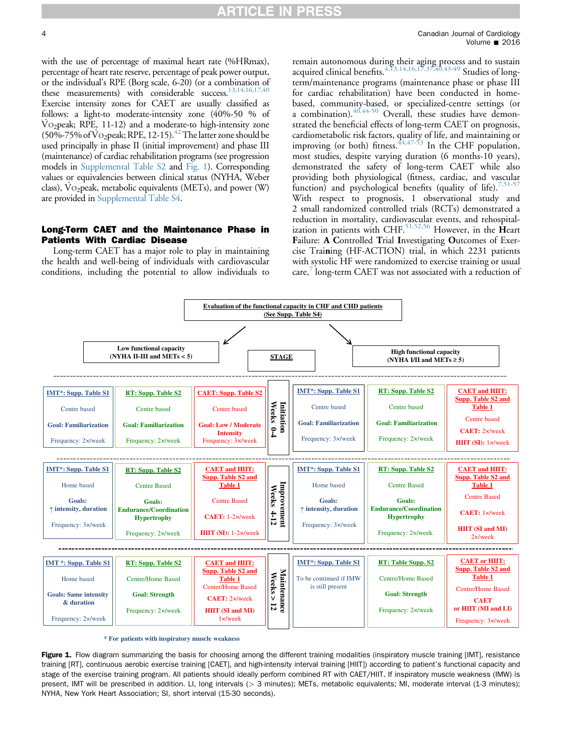with the use of percentage of maximal heart rate (%HRmax), percentage of heart rate reserve, percentage of peak power output, or the individual's RPE (Borg scale, 6-20) (or a combination of these measurements) with considerable success. $^{13,14,16,17,40}$ Exercise intensity zones for CAET are usually classified as follows: a light-to moderate-intensity zone (40%-50 % of  $\rm V_{O_2}$  peak; RPE, 11-12) and a moderate-to high-intensity zone (50%-75% of  $V$ O<sub>2</sub>peak; RPE, 12-15).<sup>42</sup> The latter zone should be used principally in phase II (initial improvement) and phase III (maintenance) of cardiac rehabilitation programs (see progression models in Supplemental Table S2 and Fig. 1). Corresponding values or equivalencies between clinical status (NYHA, Weber class),  $\overline{V}O_2$  peak, metabolic equivalents (METs), and power (W) are provided in Supplemental Table S4.

#### Long-Term CAET and the Maintenance Phase in Patients With Cardiac Disease

Long-term CAET has a major role to play in maintaining the health and well-being of individuals with cardiovascular conditions, including the potential to allow individuals to

remain autonomous during their aging process and to sustain acquired clinical benefits. $^{4,13,14,16,17,37,40,43-49}_{\cdot}$  $^{4,13,14,16,17,37,40,43-49}_{\cdot}$  $^{4,13,14,16,17,37,40,43-49}_{\cdot}$  Studies of longterm/maintenance programs (maintenance phase or phase III for cardiac rehabilitation) have been conducted in homebased, community-based, or specialized-centre settings (or a combination). $40,44-50$  Overall, these studies have demonstrated the beneficial effects of long-term CAET on prognosis, cardiometabolic risk factors, quality of life, and maintaining or improving (or both) fitness.  $44,47-53$  In the CHF population, most studies, despite varying duration (6 months-10 years), demonstrated the safety of long-term CAET while also providing both physiological (fitness, cardiac, and vascular function) and psychological benefits (quality of life).<sup>[7,51-57](#page-6-0)</sup> With respect to prognosis, 1 observational study and 2 small randomized controlled trials (RCTs) demonstrated a reduction in mortality, cardiovascular events, and rehospital-ization in patients with CHF.<sup>[51,52,56](#page-7-0)</sup> However, in the  $\hat{H}$ eart Failure: A Controlled Trial Investigating Outcomes of Exercise Training (HF-ACTION) trial, in which 2231 patients with systolic HF were randomized to exercise training or usual care,<sup> $\prime$ </sup> long-term CAET was not associated with a reduction of



**\* For patients with inspiratory muscle weakness**

Figure 1. Flow diagram summarizing the basis for choosing among the different training modalities (inspiratory muscle training [IMT], resistance training [RT], continuous aerobic exercise training [CAET], and high-intensity interval training [HIIT]) according to patient's functional capacity and stage of the exercise training program. All patients should ideally perform combined RT with CAET/HIIT. If inspiratory muscle weakness (IMW) is present, IMT will be prescribed in addition. LI, long intervals (> 3 minutes); METs, metabolic equivalents; MI, moderate interval (1-3 minutes); NYHA, New York Heart Association; SI, short interval (15-30 seconds).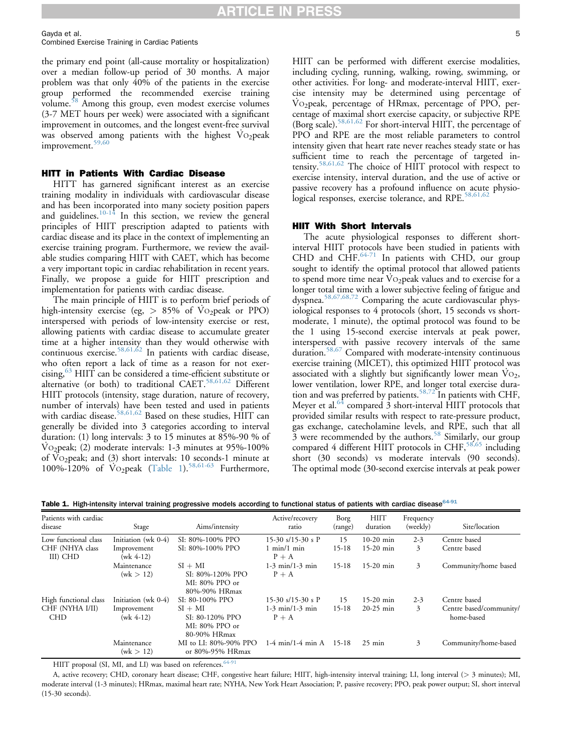<span id="page-4-0"></span>Gayda et al. 5 Combined Exercise Training in Cardiac Patients

the primary end point (all-cause mortality or hospitalization) over a median follow-up period of 30 months. A major problem was that only 40% of the patients in the exercise group performed the recommended exercise training volume.<sup>58</sup> Among this group, even modest exercise volumes (3-7 MET hours per week) were associated with a significant improvement in outcomes, and the longest event-free survival was observed among patients with the highest  $\dot{V}$ O<sub>2</sub>peak improvement.<sup>[59,60](#page-8-0)</sup>

#### HITT in Patients With Cardiac Disease

HITT has garnered significant interest as an exercise training modality in individuals with cardiovascular disease and has been incorporated into many society position papers and guidelines. $10^{-14}$  In this section, we review the general principles of HIIT prescription adapted to patients with cardiac disease and its place in the context of implementing an exercise training program. Furthermore, we review the available studies comparing HIIT with CAET, which has become a very important topic in cardiac rehabilitation in recent years. Finally, we propose a guide for HIIT prescription and implementation for patients with cardiac disease.

The main principle of HIIT is to perform brief periods of high-intensity exercise (eg,  $> 85\%$  of Vo<sub>2</sub>peak or PPO) interspersed with periods of low-intensity exercise or rest, allowing patients with cardiac disease to accumulate greater time at a higher intensity than they would otherwise with continuous exercise.<sup>[58,61,62](#page-8-0)</sup> In patients with cardiac disease, who often report a lack of time as a reason for not exercising,<sup>65</sup> HIIT can be considered a time-efficient substitute or alternative (or both) to traditional CAET.<sup>[58,61,62](#page-8-0)</sup> Different HIIT protocols (intensity, stage duration, nature of recovery, number of intervals) have been tested and used in patients with cardiac disease.<sup>[58,61,62](#page-8-0)</sup> Based on these studies,  $\overline{\text{H}}$ IIT can generally be divided into 3 categories according to interval duration: (1) long intervals: 3 to 15 minutes at 85%-90 % of  $\mathrm{Vo}_2$ peak; (2) moderate intervals: 1-3 minutes at 95%-100% of  $\mathrm{Vo}_2$  peak; and (3) short intervals: 10 seconds-1 minute at 100%-120% of  $\text{Vo}_2$ peak (Table 1).<sup>[58,61-63](#page-8-0)</sup> Furthermore,

HIIT can be performed with different exercise modalities, including cycling, running, walking, rowing, swimming, or other activities. For long- and moderate-interval HIIT, exercise intensity may be determined using percentage of VO<sub>2</sub>peak, percentage of HRmax, percentage of PPO, percentage of maximal short exercise capacity, or subjective RPE (Borg scale).<sup>[58,61,62](#page-8-0)</sup> For short-interval HIIT, the percentage of PPO and RPE are the most reliable parameters to control intensity given that heart rate never reaches steady state or has sufficient time to reach the percentage of targeted intensity.[58,61,62](#page-8-0) The choice of HIIT protocol with respect to exercise intensity, interval duration, and the use of active or passive recovery has a profound influence on acute physiological responses, exercise tolerance, and RPE.<sup>58,61,6</sup>

#### HIIT With Short Intervals

The acute physiological responses to different shortinterval HIIT protocols have been studied in patients with CHD and CHF.<sup>[64-71](#page-8-0)</sup> In patients with CHD, our group sought to identify the optimal protocol that allowed patients to spend more time near VO2peak values and to exercise for a longer total time with a lower subjective feeling of fatigue and dyspnea.[58,67,68,72](#page-8-0) Comparing the acute cardiovascular physiological responses to 4 protocols (short, 15 seconds vs shortmoderate, 1 minute), the optimal protocol was found to be the 1 using 15-second exercise intervals at peak power, interspersed with passive recovery intervals of the same duration.[58,67](#page-8-0) Compared with moderate-intensity continuous exercise training (MICET), this optimized HIIT protocol was associated with a slightly but significantly lower mean  $Vo_2$ , lower ventilation, lower RPE, and longer total exercise dura-tion and was preferred by patients.<sup>[58,72](#page-8-0)</sup> In patients with CHF, Meyer et al. $64$  compared 3 short-interval HIIT protocols that provided similar results with respect to rate-pressure product, gas exchange, catecholamine levels, and RPE, such that all  $\overline{3}$  were recommended by the authors.<sup>[58](#page-8-0)</sup> Similarly, our group compared 4 different HIIT protocols in CHF,<sup>[58,65](#page-8-0)</sup> including short (30 seconds) vs moderate intervals (90 seconds). The optimal mode (30-second exercise intervals at peak power

Table 1. High-intensity interval training progressive models according to functional status of patients with cardiac disease<sup>[64-91](#page-8-0)</sup>

| Patients with cardiac<br>disease | Stage                      | Aims/intensity                                                   | Active/recovery<br>ratio        | Borg<br>(range) | HIIT<br>duration | Frequency<br>(weekly) | Site/location                         |
|----------------------------------|----------------------------|------------------------------------------------------------------|---------------------------------|-----------------|------------------|-----------------------|---------------------------------------|
| Low functional class             | Initiation (wk 0-4)        | SI: 80%-100% PPO                                                 | 15-30 $s/15-30 s$ P             | 15              | $10-20$ min      | $2 - 3$               | Centre based                          |
| CHF (NHYA class<br>III) CHD      | Improvement<br>$(wk 4-12)$ | SI: 80%-100% PPO                                                 | $1$ min/ $1$ min<br>$P + A$     | $15-18$         | $15-20$ min      | 3                     | Centre based                          |
|                                  | Maintenance<br>(wk > 12)   | $SI + MI$<br>SI: 80%-120% PPO<br>MI: 80% PPO or<br>80%-90% HRmax | $1-3$ min/ $1-3$ min<br>$P + A$ | $15-18$         | $15-20$ min      | 3                     | Community/home based                  |
| High functional class            | Initiation (wk 0-4)        | SI: 80-100% PPO                                                  | 15-30 $s/15-30 s$ P             | 15              | $15-20$ min      | $2 - 3$               | Centre based                          |
| CHF (NYHA I/II)<br><b>CHD</b>    | Improvement<br>$(wk 4-12)$ | $SI + MI$<br>SI: 80-120% PPO<br>MI: 80% PPO or<br>80-90% HRmax   | $1-3$ min/ $1-3$ min<br>$P + A$ | $15 - 18$       | $20-25$ min      | 3                     | Centre based/community/<br>home-based |
|                                  | Maintenance<br>(wk > 12)   | MI to LI: 80%-90% PPO<br>or 80%-95% HRmax                        | $1-4$ min/1-4 min A 15-18       |                 | $25 \text{ min}$ | 3                     | Community/home-based                  |

HIIT proposal (SI, MI, and LI) was based on references.<sup>[64-91](#page-8-0)</sup>

A, active recovery; CHD, coronary heart disease; CHF, congestive heart failure; HIIT, high-intensity interval training; LI, long interval (> 3 minutes); MI, moderate interval (1-3 minutes); HRmax, maximal heart rate; NYHA, New York Heart Association; P, passive recovery; PPO, peak power output; SI, short interval (15-30 seconds).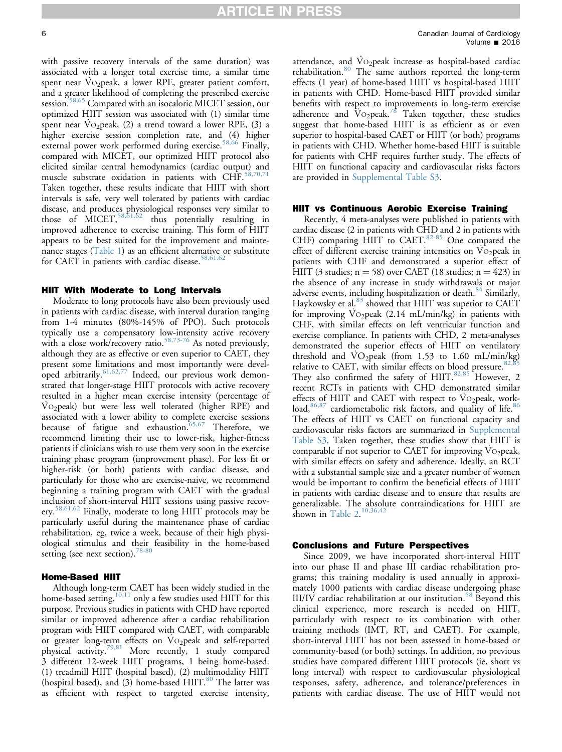with passive recovery intervals of the same duration) was associated with a longer total exercise time, a similar time spent near VO<sub>2</sub>peak, a lower RPE, greater patient comfort, and a greater likelihood of completing the prescribed exercise session.<sup>[58,65](#page-8-0)</sup> Compared with an isocaloric MICET session, our optimized HIIT session was associated with (1) similar time spent near  $Vo_2$ peak, (2) a trend toward a lower RPE, (3) a higher exercise session completion rate, and (4) higher external power work performed during exercise.<sup>[58,66](#page-8-0)</sup> Finally, compared with MICET, our optimized HIIT protocol also elicited similar central hemodynamics (cardiac output) and muscle substrate oxidation in patients with CHF.<sup>58</sup> Taken together, these results indicate that HIIT with short intervals is safe, very well tolerated by patients with cardiac disease, and produces physiological responses very similar to those of MICET, 58,51,62 thus potentially resulting in improved adherence to exercise training. This form of HIIT appears to be best suited for the improvement and maintenance stages ([Table 1\)](#page-4-0) as an efficient alternative or substitute for CAET in patients with cardiac disease.<sup>[58,61,62](#page-8-0)</sup>

#### HIIT With Moderate to Long Intervals

Moderate to long protocols have also been previously used in patients with cardiac disease, with interval duration ranging from 1-4 minutes (80%-145% of PPO). Such protocols typically use a compensatory low-intensity active recovery with a close work/recovery ratio.<sup>[58,73-76](#page-8-0)</sup> As noted previously, although they are as effective or even superior to CAET, they present some limitations and most importantly were developed arbitrarily. $61,62,77$  Indeed, our previous work demonstrated that longer-stage HIIT protocols with active recovery resulted in a higher mean exercise intensity (percentage of VO<sub>2</sub>peak) but were less well tolerated (higher RPE) and associated with a lower ability to complete exercise sessions because of fatigue and exhaustion.  $65,67$  Therefore, we recommend limiting their use to lower-risk, higher-fitness patients if clinicians wish to use them very soon in the exercise training phase program (improvement phase). For less fit or higher-risk (or both) patients with cardiac disease, and particularly for those who are exercise-naive, we recommend beginning a training program with CAET with the gradual inclusion of short-interval HIIT sessions using passive recov-ery.<sup>[58,61,62](#page-8-0)</sup> Finally, moderate to long HIIT protocols may be particularly useful during the maintenance phase of cardiac rehabilitation, eg, twice a week, because of their high physiological stimulus and their feasibility in the home-based setting (see next section).<sup>[78-80](#page-8-0)</sup>

#### Home-Based HIIT

Although long-term CAET has been widely studied in the home-based setting,<sup>[10,11](#page-6-0)</sup> only a few studies used HIIT for this purpose. Previous studies in patients with CHD have reported similar or improved adherence after a cardiac rehabilitation program with HIIT compared with CAET, with comparable or greater long-term effects on VO2peak and self-reported physical activity.<sup>[79,81](#page-8-0)</sup> More recently, 1 study compared 3 different 12-week HIIT programs, 1 being home-based: (1) treadmill HIIT (hospital based), (2) multimodality HIIT (hospital based), and  $(3)$  home-based HIIT.<sup>[80](#page-8-0)</sup> The latter was as efficient with respect to targeted exercise intensity, attendance, and  $Vo_2$ peak increase as hospital-based cardiac rehabilitation.<sup>[80](#page-8-0)</sup> The same authors reported the long-term effects (1 year) of home-based HIIT vs hospital-based HIIT in patients with CHD. Home-based HIIT provided similar benefits with respect to improvements in long-term exercise adherence and  $\rm\ddot{V}o_2$  peak.<sup>[78](#page-8-0)</sup> Taken together, these studies suggest that home-based HIIT is as efficient as or even superior to hospital-based CAET or HIIT (or both) programs in patients with CHD. Whether home-based HIIT is suitable for patients with CHF requires further study. The effects of HIIT on functional capacity and cardiovascular risks factors are provided in Supplemental Table S3.

#### HIIT vs Continuous Aerobic Exercise Training

Recently, 4 meta-analyses were published in patients with cardiac disease (2 in patients with CHD and 2 in patients with CHF) comparing HIIT to CAET. $82-85$  One compared the effect of different exercise training intensities on  $\mathrm{Vo}_2$  peak in patients with CHF and demonstrated a superior effect of HIIT (3 studies;  $n = 58$ ) over CAET (18 studies;  $n = 423$ ) in the absence of any increase in study withdrawals or major adverse events, including hospitalization or death.<sup>[84](#page-8-0)</sup> Similarly, Haykowsky et al.<sup>[83](#page-8-0)</sup> showed that HIIT was superior to CAET for improving VO<sub>2</sub>peak (2.14 mL/min/kg) in patients with CHF, with similar effects on left ventricular function and exercise compliance. In patients with CHD, 2 meta-analyses demonstrated the superior effects of HIIT on ventilatory threshold and  $\overrightarrow{VO}_2$  peak (from 1.53 to 1.60 mL/min/kg) relative to CAET, with similar effects on blood pressure.  $82,85$ They also confirmed the safety of HIIT.<sup>[82,85](#page-8-0)</sup> However, 2 recent RCTs in patients with CHD demonstrated similar effects of HIIT and CAET with respect to  $\mathrm{Vo}_2$  peak, workload, $86,87$  cardiometabolic risk factors, and quality of life. $86$ The effects of HIIT vs CAET on functional capacity and cardiovascular risks factors are summarized in Supplemental Table S3. Taken together, these studies show that HIIT is comparable if not superior to CAET for improving  $Vo_2$ peak, with similar effects on safety and adherence. Ideally, an RCT with a substantial sample size and a greater number of women would be important to confirm the beneficial effects of HIIT in patients with cardiac disease and to ensure that results are generalizable. The absolute contraindications for HIIT are shown in Table  $2.^{10,36,42}$  $2.^{10,36,42}$  $2.^{10,36,42}$ 

#### Conclusions and Future Perspectives

Since 2009, we have incorporated short-interval HIIT into our phase II and phase III cardiac rehabilitation programs; this training modality is used annually in approximately 1000 patients with cardiac disease undergoing phase III/IV cardiac rehabilitation at our institution.[58](#page-8-0) Beyond this clinical experience, more research is needed on HIIT, particularly with respect to its combination with other training methods (IMT, RT, and CAET). For example, short-interval HIIT has not been assessed in home-based or community-based (or both) settings. In addition, no previous studies have compared different HIIT protocols (ie, short vs long interval) with respect to cardiovascular physiological responses, safety, adherence, and tolerance/preferences in patients with cardiac disease. The use of HIIT would not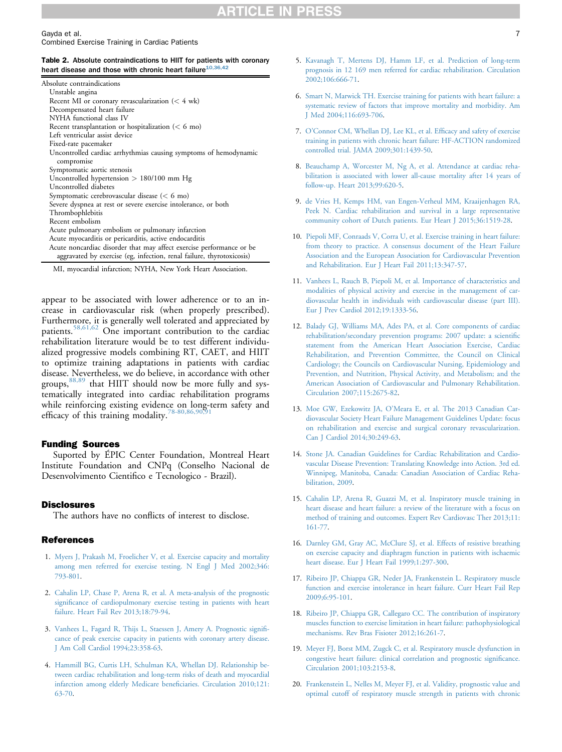<span id="page-6-0"></span>Gayda et al. 7 Combined Exercise Training in Cardiac Patients

#### Table 2. Absolute contraindications to HIIT for patients with coronary heart disease and those with chronic heart failure $^{10,36,4}$

| Absolute contraindications                                                     |
|--------------------------------------------------------------------------------|
| Unstable angina                                                                |
| Recent MI or coronary revascularization $(< 4$ wk)                             |
| Decompensated heart failure                                                    |
| NYHA functional class IV                                                       |
| Recent transplantation or hospitalization ( $< 6$ mo)                          |
| Left ventricular assist device                                                 |
| Fixed-rate pacemaker                                                           |
| Uncontrolled cardiac arrhythmias causing symptoms of hemodynamic<br>compromise |
| Symptomatic aortic stenosis                                                    |
| Uncontrolled hypertension $> 180/100$ mm Hg                                    |
| Uncontrolled diabetes                                                          |
| Symptomatic cerebrovascular disease ( $< 6$ mo)                                |
| Severe dyspnea at rest or severe exercise intolerance, or both                 |
| Thrombophlebitis                                                               |
| Recent embolism                                                                |
| Acute pulmonary embolism or pulmonary infarction                               |
| Acute myocarditis or pericarditis, active endocarditis                         |
| Acute noncardiac disorder that may affect exercise performance or be           |
| aggravated by exercise (eg, infection, renal failure, thyrotoxicosis)          |

MI, myocardial infarction; NYHA, New York Heart Association.

appear to be associated with lower adherence or to an increase in cardiovascular risk (when properly prescribed). Furthermore, it is generally well tolerated and appreciated by patients.<sup>[58,61,62](#page-8-0)</sup> One important contribution to the cardiac rehabilitation literature would be to test different individualized progressive models combining RT, CAET, and HIIT to optimize training adaptations in patients with cardiac disease. Nevertheless, we do believe, in accordance with other groups,<sup>[88,89](#page-9-0)</sup> that HIIT should now be more fully and systematically integrated into cardiac rehabilitation programs while reinforcing existing evidence on long-term safety and efficacy of this training modality.<sup>78-80,86,90</sup>

#### Funding Sources

Suported by ÉPIC Center Foundation, Montreal Heart Institute Foundation and CNPq (Conselho Nacional de Desenvolvimento Cientifico e Tecnologico - Brazil).

#### **Disclosures**

The authors have no conflicts of interest to disclose.

#### **References**

- 1. [Myers J, Prakash M, Froelicher V, et al. Exercise capacity and mortality](http://refhub.elsevier.com/S0828-282X(16)00057-X/sref1) [among men referred for exercise testing. N Engl J Med 2002;346:](http://refhub.elsevier.com/S0828-282X(16)00057-X/sref1) [793-801](http://refhub.elsevier.com/S0828-282X(16)00057-X/sref1).
- 2. [Cahalin LP, Chase P, Arena R, et al. A meta-analysis of the prognostic](http://refhub.elsevier.com/S0828-282X(16)00057-X/sref2) signifi[cance of cardiopulmonary exercise testing in patients with heart](http://refhub.elsevier.com/S0828-282X(16)00057-X/sref2) [failure. Heart Fail Rev 2013;18:79-94](http://refhub.elsevier.com/S0828-282X(16)00057-X/sref2).
- 3. [Vanhees L, Fagard R, Thijs L, Staessen J, Amery A. Prognostic signi](http://refhub.elsevier.com/S0828-282X(16)00057-X/sref3)fi[cance of peak exercise capacity in patients with coronary artery disease.](http://refhub.elsevier.com/S0828-282X(16)00057-X/sref3) [J Am Coll Cardiol 1994;23:358-63](http://refhub.elsevier.com/S0828-282X(16)00057-X/sref3).
- 4. [Hammill BG, Curtis LH, Schulman KA, Whellan DJ. Relationship be](http://refhub.elsevier.com/S0828-282X(16)00057-X/sref4)[tween cardiac rehabilitation and long-term risks of death and myocardial](http://refhub.elsevier.com/S0828-282X(16)00057-X/sref4) [infarction among elderly Medicare bene](http://refhub.elsevier.com/S0828-282X(16)00057-X/sref4)ficiaries. Circulation 2010;121: [63-70](http://refhub.elsevier.com/S0828-282X(16)00057-X/sref4).
- 5. [Kavanagh T, Mertens DJ, Hamm LF, et al. Prediction of long-term](http://refhub.elsevier.com/S0828-282X(16)00057-X/sref5) [prognosis in 12 169 men referred for cardiac rehabilitation. Circulation](http://refhub.elsevier.com/S0828-282X(16)00057-X/sref5) [2002;106:666-71](http://refhub.elsevier.com/S0828-282X(16)00057-X/sref5).
- 6. [Smart N, Marwick TH. Exercise training for patients with heart failure: a](http://refhub.elsevier.com/S0828-282X(16)00057-X/sref6) [systematic review of factors that improve mortality and morbidity. Am](http://refhub.elsevier.com/S0828-282X(16)00057-X/sref6) [J Med 2004;116:693-706](http://refhub.elsevier.com/S0828-282X(16)00057-X/sref6).
- 7. O'[Connor CM, Whellan DJ, Lee KL, et al. Ef](http://refhub.elsevier.com/S0828-282X(16)00057-X/sref7)ficacy and safety of exercise [training in patients with chronic heart failure: HF-ACTION randomized](http://refhub.elsevier.com/S0828-282X(16)00057-X/sref7) [controlled trial. JAMA 2009;301:1439-50](http://refhub.elsevier.com/S0828-282X(16)00057-X/sref7).
- 8. [Beauchamp A, Worcester M, Ng A, et al. Attendance at cardiac reha](http://refhub.elsevier.com/S0828-282X(16)00057-X/sref8)[bilitation is associated with lower all-cause mortality after 14 years of](http://refhub.elsevier.com/S0828-282X(16)00057-X/sref8) [follow-up. Heart 2013;99:620-5](http://refhub.elsevier.com/S0828-282X(16)00057-X/sref8).
- 9. [de Vries H, Kemps HM, van Engen-Verheul MM, Kraaijenhagen RA,](http://refhub.elsevier.com/S0828-282X(16)00057-X/sref9) [Peek N. Cardiac rehabilitation and survival in a large representative](http://refhub.elsevier.com/S0828-282X(16)00057-X/sref9) [community cohort of Dutch patients. Eur Heart J 2015;36:1519-28.](http://refhub.elsevier.com/S0828-282X(16)00057-X/sref9)
- 10. [Piepoli MF, Conraads V, Corra U, et al. Exercise training in heart failure:](http://refhub.elsevier.com/S0828-282X(16)00057-X/sref10) [from theory to practice. A consensus document of the Heart Failure](http://refhub.elsevier.com/S0828-282X(16)00057-X/sref10) [Association and the European Association for Cardiovascular Prevention](http://refhub.elsevier.com/S0828-282X(16)00057-X/sref10) [and Rehabilitation. Eur J Heart Fail 2011;13:347-57.](http://refhub.elsevier.com/S0828-282X(16)00057-X/sref10)
- 11. [Vanhees L, Rauch B, Piepoli M, et al. Importance of characteristics and](http://refhub.elsevier.com/S0828-282X(16)00057-X/sref11) [modalities of physical activity and exercise in the management of car](http://refhub.elsevier.com/S0828-282X(16)00057-X/sref11)[diovascular health in individuals with cardiovascular disease \(part III\).](http://refhub.elsevier.com/S0828-282X(16)00057-X/sref11) [Eur J Prev Cardiol 2012;19:1333-56](http://refhub.elsevier.com/S0828-282X(16)00057-X/sref11).
- 12. [Balady GJ, Williams MA, Ades PA, et al. Core components of cardiac](http://refhub.elsevier.com/S0828-282X(16)00057-X/sref12) [rehabilitation/secondary prevention programs: 2007 update: a scienti](http://refhub.elsevier.com/S0828-282X(16)00057-X/sref12)fic [statement from the American Heart Association Exercise, Cardiac](http://refhub.elsevier.com/S0828-282X(16)00057-X/sref12) [Rehabilitation, and Prevention Committee, the Council on Clinical](http://refhub.elsevier.com/S0828-282X(16)00057-X/sref12) [Cardiology; the Councils on Cardiovascular Nursing, Epidemiology and](http://refhub.elsevier.com/S0828-282X(16)00057-X/sref12) [Prevention, and Nutrition, Physical Activity, and Metabolism; and the](http://refhub.elsevier.com/S0828-282X(16)00057-X/sref12) [American Association of Cardiovascular and Pulmonary Rehabilitation.](http://refhub.elsevier.com/S0828-282X(16)00057-X/sref12) [Circulation 2007;115:2675-82.](http://refhub.elsevier.com/S0828-282X(16)00057-X/sref12)
- 13. Moe GW, Ezekowitz JA, O'[Meara E, et al. The 2013 Canadian Car](http://refhub.elsevier.com/S0828-282X(16)00057-X/sref13)[diovascular Society Heart Failure Management Guidelines Update: focus](http://refhub.elsevier.com/S0828-282X(16)00057-X/sref13) [on rehabilitation and exercise and surgical coronary revascularization.](http://refhub.elsevier.com/S0828-282X(16)00057-X/sref13) [Can J Cardiol 2014;30:249-63.](http://refhub.elsevier.com/S0828-282X(16)00057-X/sref13)
- 14. [Stone JA. Canadian Guidelines for Cardiac Rehabilitation and Cardio](http://refhub.elsevier.com/S0828-282X(16)00057-X/sref14)[vascular Disease Prevention: Translating Knowledge into Action. 3rd ed.](http://refhub.elsevier.com/S0828-282X(16)00057-X/sref14) [Winnipeg, Manitoba, Canada: Canadian Association of Cardiac Reha](http://refhub.elsevier.com/S0828-282X(16)00057-X/sref14)[bilitation, 2009.](http://refhub.elsevier.com/S0828-282X(16)00057-X/sref14)
- 15. [Cahalin LP, Arena R, Guazzi M, et al. Inspiratory muscle training in](http://refhub.elsevier.com/S0828-282X(16)00057-X/sref15) [heart disease and heart failure: a review of the literature with a focus on](http://refhub.elsevier.com/S0828-282X(16)00057-X/sref15) [method of training and outcomes. Expert Rev Cardiovasc Ther 2013;11:](http://refhub.elsevier.com/S0828-282X(16)00057-X/sref15) [161-77.](http://refhub.elsevier.com/S0828-282X(16)00057-X/sref15)
- 16. [Darnley GM, Gray AC, McClure SJ, et al. Effects of resistive breathing](http://refhub.elsevier.com/S0828-282X(16)00057-X/sref16) [on exercise capacity and diaphragm function in patients with ischaemic](http://refhub.elsevier.com/S0828-282X(16)00057-X/sref16) [heart disease. Eur J Heart Fail 1999;1:297-300](http://refhub.elsevier.com/S0828-282X(16)00057-X/sref16).
- 17. [Ribeiro JP, Chiappa GR, Neder JA, Frankenstein L. Respiratory muscle](http://refhub.elsevier.com/S0828-282X(16)00057-X/sref17) [function and exercise intolerance in heart failure. Curr Heart Fail Rep](http://refhub.elsevier.com/S0828-282X(16)00057-X/sref17) [2009;6:95-101.](http://refhub.elsevier.com/S0828-282X(16)00057-X/sref17)
- 18. [Ribeiro JP, Chiappa GR, Callegaro CC. The contribution of inspiratory](http://refhub.elsevier.com/S0828-282X(16)00057-X/sref18) [muscles function to exercise limitation in heart failure: pathophysiological](http://refhub.elsevier.com/S0828-282X(16)00057-X/sref18) [mechanisms. Rev Bras Fisioter 2012;16:261-7.](http://refhub.elsevier.com/S0828-282X(16)00057-X/sref18)
- 19. [Meyer FJ, Borst MM, Zugck C, et al. Respiratory muscle dysfunction in](http://refhub.elsevier.com/S0828-282X(16)00057-X/sref19) [congestive heart failure: clinical correlation and prognostic signi](http://refhub.elsevier.com/S0828-282X(16)00057-X/sref19)ficance. [Circulation 2001;103:2153-8.](http://refhub.elsevier.com/S0828-282X(16)00057-X/sref19)
- 20. [Frankenstein L, Nelles M, Meyer FJ, et al. Validity, prognostic value and](http://refhub.elsevier.com/S0828-282X(16)00057-X/sref20) [optimal cutoff of respiratory muscle strength in patients with chronic](http://refhub.elsevier.com/S0828-282X(16)00057-X/sref20)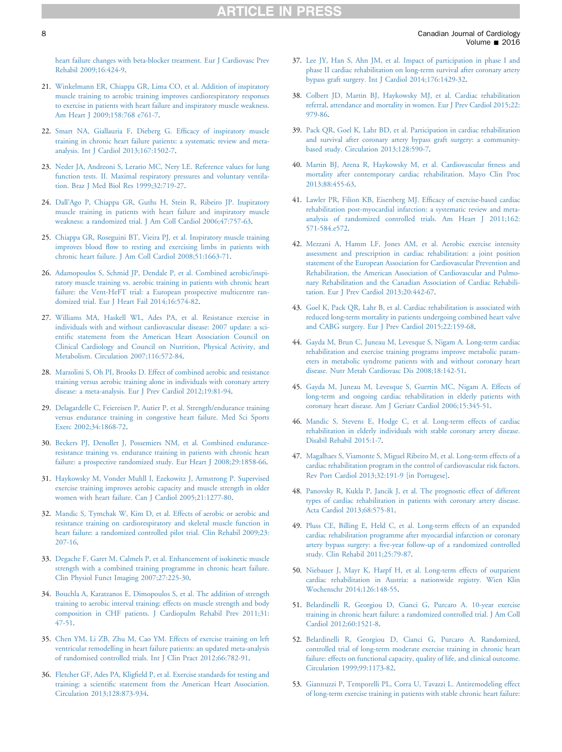<span id="page-7-0"></span>[heart failure changes with beta-blocker treatment. Eur J Cardiovasc Prev](http://refhub.elsevier.com/S0828-282X(16)00057-X/sref20) [Rehabil 2009;16:424-9.](http://refhub.elsevier.com/S0828-282X(16)00057-X/sref20)

- 21. [Winkelmann ER, Chiappa GR, Lima CO, et al. Addition of inspiratory](http://refhub.elsevier.com/S0828-282X(16)00057-X/sref21) [muscle training to aerobic training improves cardiorespiratory responses](http://refhub.elsevier.com/S0828-282X(16)00057-X/sref21) [to exercise in patients with heart failure and inspiratory muscle weakness.](http://refhub.elsevier.com/S0828-282X(16)00057-X/sref21) [Am Heart J 2009;158:768 e761-7.](http://refhub.elsevier.com/S0828-282X(16)00057-X/sref21)
- 22. [Smart NA, Giallauria F, Dieberg G. Ef](http://refhub.elsevier.com/S0828-282X(16)00057-X/sref22)ficacy of inspiratory muscle [training in chronic heart failure patients: a systematic review and meta](http://refhub.elsevier.com/S0828-282X(16)00057-X/sref22)[analysis. Int J Cardiol 2013;167:1502-7.](http://refhub.elsevier.com/S0828-282X(16)00057-X/sref22)
- 23. [Neder JA, Andreoni S, Lerario MC, Nery LE. Reference values for lung](http://refhub.elsevier.com/S0828-282X(16)00057-X/sref23) [function tests. II. Maximal respiratory pressures and voluntary ventila](http://refhub.elsevier.com/S0828-282X(16)00057-X/sref23)[tion. Braz J Med Biol Res 1999;32:719-27.](http://refhub.elsevier.com/S0828-282X(16)00057-X/sref23)
- 24. Dall'[Ago P, Chiappa GR, Guths H, Stein R, Ribeiro JP. Inspiratory](http://refhub.elsevier.com/S0828-282X(16)00057-X/sref24) [muscle training in patients with heart failure and inspiratory muscle](http://refhub.elsevier.com/S0828-282X(16)00057-X/sref24) [weakness: a randomized trial. J Am Coll Cardiol 2006;47:757-63](http://refhub.elsevier.com/S0828-282X(16)00057-X/sref24).
- 25. [Chiappa GR, Roseguini BT, Vieira PJ, et al. Inspiratory muscle training](http://refhub.elsevier.com/S0828-282X(16)00057-X/sref25) improves blood fl[ow to resting and exercising limbs in patients with](http://refhub.elsevier.com/S0828-282X(16)00057-X/sref25) [chronic heart failure. J Am Coll Cardiol 2008;51:1663-71](http://refhub.elsevier.com/S0828-282X(16)00057-X/sref25).
- 26. [Adamopoulos S, Schmid JP, Dendale P, et al. Combined aerobic/inspi](http://refhub.elsevier.com/S0828-282X(16)00057-X/sref26)[ratory muscle training vs. aerobic training in patients with chronic heart](http://refhub.elsevier.com/S0828-282X(16)00057-X/sref26) [failure: the Vent-HeFT trial: a European prospective multicentre ran](http://refhub.elsevier.com/S0828-282X(16)00057-X/sref26)[domized trial. Eur J Heart Fail 2014;16:574-82](http://refhub.elsevier.com/S0828-282X(16)00057-X/sref26).
- 27. [Williams MA, Haskell WL, Ades PA, et al. Resistance exercise in](http://refhub.elsevier.com/S0828-282X(16)00057-X/sref27) [individuals with and without cardiovascular disease: 2007 update: a sci](http://refhub.elsevier.com/S0828-282X(16)00057-X/sref27)entifi[c statement from the American Heart Association Council on](http://refhub.elsevier.com/S0828-282X(16)00057-X/sref27) [Clinical Cardiology and Council on Nutrition, Physical Activity, and](http://refhub.elsevier.com/S0828-282X(16)00057-X/sref27) [Metabolism. Circulation 2007;116:572-84.](http://refhub.elsevier.com/S0828-282X(16)00057-X/sref27)
- 28. [Marzolini S, Oh PI, Brooks D. Effect of combined aerobic and resistance](http://refhub.elsevier.com/S0828-282X(16)00057-X/sref28) [training versus aerobic training alone in individuals with coronary artery](http://refhub.elsevier.com/S0828-282X(16)00057-X/sref28) [disease: a meta-analysis. Eur J Prev Cardiol 2012;19:81-94](http://refhub.elsevier.com/S0828-282X(16)00057-X/sref28).
- 29. [Delagardelle C, Feiereisen P, Autier P, et al. Strength/endurance training](http://refhub.elsevier.com/S0828-282X(16)00057-X/sref29) [versus endurance training in congestive heart failure. Med Sci Sports](http://refhub.elsevier.com/S0828-282X(16)00057-X/sref29) [Exerc 2002;34:1868-72](http://refhub.elsevier.com/S0828-282X(16)00057-X/sref29).
- 30. [Beckers PJ, Denollet J, Possemiers NM, et al. Combined endurance](http://refhub.elsevier.com/S0828-282X(16)00057-X/sref30)[resistance training vs. endurance training in patients with chronic heart](http://refhub.elsevier.com/S0828-282X(16)00057-X/sref30) [failure: a prospective randomized study. Eur Heart J 2008;29:1858-66](http://refhub.elsevier.com/S0828-282X(16)00057-X/sref30).
- 31. [Haykowsky M, Vonder Muhll I, Ezekowitz J, Armstrong P. Supervised](http://refhub.elsevier.com/S0828-282X(16)00057-X/sref31) [exercise training improves aerobic capacity and muscle strength in older](http://refhub.elsevier.com/S0828-282X(16)00057-X/sref31) [women with heart failure. Can J Cardiol 2005;21:1277-80.](http://refhub.elsevier.com/S0828-282X(16)00057-X/sref31)
- 32. [Mandic S, Tymchak W, Kim D, et al. Effects of aerobic or aerobic and](http://refhub.elsevier.com/S0828-282X(16)00057-X/sref32) [resistance training on cardiorespiratory and skeletal muscle function in](http://refhub.elsevier.com/S0828-282X(16)00057-X/sref32) [heart failure: a randomized controlled pilot trial. Clin Rehabil 2009;23:](http://refhub.elsevier.com/S0828-282X(16)00057-X/sref32) [207-16.](http://refhub.elsevier.com/S0828-282X(16)00057-X/sref32)
- 33. [Degache F, Garet M, Calmels P, et al. Enhancement of isokinetic muscle](http://refhub.elsevier.com/S0828-282X(16)00057-X/sref33) [strength with a combined training programme in chronic heart failure.](http://refhub.elsevier.com/S0828-282X(16)00057-X/sref33) [Clin Physiol Funct Imaging 2007;27:225-30.](http://refhub.elsevier.com/S0828-282X(16)00057-X/sref33)
- 34. [Bouchla A, Karatzanos E, Dimopoulos S, et al. The addition of strength](http://refhub.elsevier.com/S0828-282X(16)00057-X/sref34) [training to aerobic interval training: effects on muscle strength and body](http://refhub.elsevier.com/S0828-282X(16)00057-X/sref34) [composition in CHF patients. J Cardiopulm Rehabil Prev 2011;31:](http://refhub.elsevier.com/S0828-282X(16)00057-X/sref34) [47-51.](http://refhub.elsevier.com/S0828-282X(16)00057-X/sref34)
- 35. [Chen YM, Li ZB, Zhu M, Cao YM. Effects of exercise training on left](http://refhub.elsevier.com/S0828-282X(16)00057-X/sref35) [ventricular remodelling in heart failure patients: an updated meta-analysis](http://refhub.elsevier.com/S0828-282X(16)00057-X/sref35) [of randomised controlled trials. Int J Clin Pract 2012;66:782-91.](http://refhub.elsevier.com/S0828-282X(16)00057-X/sref35)
- 36. Fletcher GF, Ades PA, Kligfi[eld P, et al. Exercise standards for testing and](http://refhub.elsevier.com/S0828-282X(16)00057-X/sref36) training: a scientifi[c statement from the American Heart Association.](http://refhub.elsevier.com/S0828-282X(16)00057-X/sref36) [Circulation 2013;128:873-934.](http://refhub.elsevier.com/S0828-282X(16)00057-X/sref36)
- 37. [Lee JY, Han S, Ahn JM, et al. Impact of participation in phase I and](http://refhub.elsevier.com/S0828-282X(16)00057-X/sref37) [phase II cardiac rehabilitation on long-term survival after coronary artery](http://refhub.elsevier.com/S0828-282X(16)00057-X/sref37) [bypass graft surgery. Int J Cardiol 2014;176:1429-32.](http://refhub.elsevier.com/S0828-282X(16)00057-X/sref37)
- 38. [Colbert JD, Martin BJ, Haykowsky MJ, et al. Cardiac rehabilitation](http://refhub.elsevier.com/S0828-282X(16)00057-X/sref38) [referral, attendance and mortality in women. Eur J Prev Cardiol 2015;22:](http://refhub.elsevier.com/S0828-282X(16)00057-X/sref38) [979-86.](http://refhub.elsevier.com/S0828-282X(16)00057-X/sref38)
- 39. [Pack QR, Goel K, Lahr BD, et al. Participation in cardiac rehabilitation](http://refhub.elsevier.com/S0828-282X(16)00057-X/sref39) [and survival after coronary artery bypass graft surgery: a community](http://refhub.elsevier.com/S0828-282X(16)00057-X/sref39)[based study. Circulation 2013;128:590-7.](http://refhub.elsevier.com/S0828-282X(16)00057-X/sref39)
- 40. [Martin BJ, Arena R, Haykowsky M, et al. Cardiovascular](http://refhub.elsevier.com/S0828-282X(16)00057-X/sref40) fitness and [mortality after contemporary cardiac rehabilitation. Mayo Clin Proc](http://refhub.elsevier.com/S0828-282X(16)00057-X/sref40) [2013;88:455-63.](http://refhub.elsevier.com/S0828-282X(16)00057-X/sref40)
- 41. [Lawler PR, Filion KB, Eisenberg MJ. Ef](http://refhub.elsevier.com/S0828-282X(16)00057-X/sref41)ficacy of exercise-based cardiac [rehabilitation post-myocardial infarction: a systematic review and meta](http://refhub.elsevier.com/S0828-282X(16)00057-X/sref41)[analysis of randomized controlled trials. Am Heart J 2011;162:](http://refhub.elsevier.com/S0828-282X(16)00057-X/sref41) [571-584.e572.](http://refhub.elsevier.com/S0828-282X(16)00057-X/sref41)
- 42. [Mezzani A, Hamm LF, Jones AM, et al. Aerobic exercise intensity](http://refhub.elsevier.com/S0828-282X(16)00057-X/sref42) [assessment and prescription in cardiac rehabilitation: a joint position](http://refhub.elsevier.com/S0828-282X(16)00057-X/sref42) [statement of the European Association for Cardiovascular Prevention and](http://refhub.elsevier.com/S0828-282X(16)00057-X/sref42) [Rehabilitation, the American Association of Cardiovascular and Pulmo](http://refhub.elsevier.com/S0828-282X(16)00057-X/sref42)[nary Rehabilitation and the Canadian Association of Cardiac Rehabili](http://refhub.elsevier.com/S0828-282X(16)00057-X/sref42)[tation. Eur J Prev Cardiol 2013;20:442-67](http://refhub.elsevier.com/S0828-282X(16)00057-X/sref42).
- 43. [Goel K, Pack QR, Lahr B, et al. Cardiac rehabilitation is associated with](http://refhub.elsevier.com/S0828-282X(16)00057-X/sref43) [reduced long-term mortality in patients undergoing combined heart valve](http://refhub.elsevier.com/S0828-282X(16)00057-X/sref43) [and CABG surgery. Eur J Prev Cardiol 2015;22:159-68.](http://refhub.elsevier.com/S0828-282X(16)00057-X/sref43)
- 44. [Gayda M, Brun C, Juneau M, Levesque S, Nigam A. Long-term cardiac](http://refhub.elsevier.com/S0828-282X(16)00057-X/sref44) [rehabilitation and exercise training programs improve metabolic param](http://refhub.elsevier.com/S0828-282X(16)00057-X/sref44)[eters in metabolic syndrome patients with and without coronary heart](http://refhub.elsevier.com/S0828-282X(16)00057-X/sref44) [disease. Nutr Metab Cardiovasc Dis 2008;18:142-51](http://refhub.elsevier.com/S0828-282X(16)00057-X/sref44).
- 45. [Gayda M, Juneau M, Levesque S, Guertin MC, Nigam A. Effects of](http://refhub.elsevier.com/S0828-282X(16)00057-X/sref45) [long-term and ongoing cardiac rehabilitation in elderly patients with](http://refhub.elsevier.com/S0828-282X(16)00057-X/sref45) [coronary heart disease. Am J Geriatr Cardiol 2006;15:345-51](http://refhub.elsevier.com/S0828-282X(16)00057-X/sref45).
- 46. [Mandic S, Stevens E, Hodge C, et al. Long-term effects of cardiac](http://refhub.elsevier.com/S0828-282X(16)00057-X/sref46) [rehabilitation in elderly individuals with stable coronary artery disease.](http://refhub.elsevier.com/S0828-282X(16)00057-X/sref46) [Disabil Rehabil 2015:1-7](http://refhub.elsevier.com/S0828-282X(16)00057-X/sref46).
- 47. [Magalhaes S, Viamonte S, Miguel Ribeiro M, et al. Long-term effects of a](http://refhub.elsevier.com/S0828-282X(16)00057-X/sref47) [cardiac rehabilitation program in the control of cardiovascular risk factors.](http://refhub.elsevier.com/S0828-282X(16)00057-X/sref47) [Rev Port Cardiol 2013;32:191-9 \[in Portugese\]](http://refhub.elsevier.com/S0828-282X(16)00057-X/sref47).
- 48. [Panovsky R, Kukla P, Jancik J, et al. The prognostic effect of different](http://refhub.elsevier.com/S0828-282X(16)00057-X/sref48) [types of cardiac rehabilitation in patients with coronary artery disease.](http://refhub.elsevier.com/S0828-282X(16)00057-X/sref48) [Acta Cardiol 2013;68:575-81](http://refhub.elsevier.com/S0828-282X(16)00057-X/sref48).
- 49. [Pluss CE, Billing E, Held C, et al. Long-term effects of an expanded](http://refhub.elsevier.com/S0828-282X(16)00057-X/sref49) [cardiac rehabilitation programme after myocardial infarction or coronary](http://refhub.elsevier.com/S0828-282X(16)00057-X/sref49) artery bypass surgery: a fi[ve-year follow-up of a randomized controlled](http://refhub.elsevier.com/S0828-282X(16)00057-X/sref49) [study. Clin Rehabil 2011;25:79-87.](http://refhub.elsevier.com/S0828-282X(16)00057-X/sref49)
- 50. [Niebauer J, Mayr K, Harpf H, et al. Long-term effects of outpatient](http://refhub.elsevier.com/S0828-282X(16)00057-X/sref50) [cardiac rehabilitation in Austria: a nationwide registry. Wien Klin](http://refhub.elsevier.com/S0828-282X(16)00057-X/sref50) [Wochenschr 2014;126:148-55.](http://refhub.elsevier.com/S0828-282X(16)00057-X/sref50)
- 51. [Belardinelli R, Georgiou D, Cianci G, Purcaro A. 10-year exercise](http://refhub.elsevier.com/S0828-282X(16)00057-X/sref51) [training in chronic heart failure: a randomized controlled trial. J Am Coll](http://refhub.elsevier.com/S0828-282X(16)00057-X/sref51) [Cardiol 2012;60:1521-8](http://refhub.elsevier.com/S0828-282X(16)00057-X/sref51).
- 52. [Belardinelli R, Georgiou D, Cianci G, Purcaro A. Randomized,](http://refhub.elsevier.com/S0828-282X(16)00057-X/sref52) [controlled trial of long-term moderate exercise training in chronic heart](http://refhub.elsevier.com/S0828-282X(16)00057-X/sref52) [failure: effects on functional capacity, quality of life, and clinical outcome.](http://refhub.elsevier.com/S0828-282X(16)00057-X/sref52) [Circulation 1999;99:1173-82.](http://refhub.elsevier.com/S0828-282X(16)00057-X/sref52)
- 53. [Giannuzzi P, Temporelli PL, Corra U, Tavazzi L. Antiremodeling effect](http://refhub.elsevier.com/S0828-282X(16)00057-X/sref53) [of long-term exercise training in patients with stable chronic heart failure:](http://refhub.elsevier.com/S0828-282X(16)00057-X/sref53)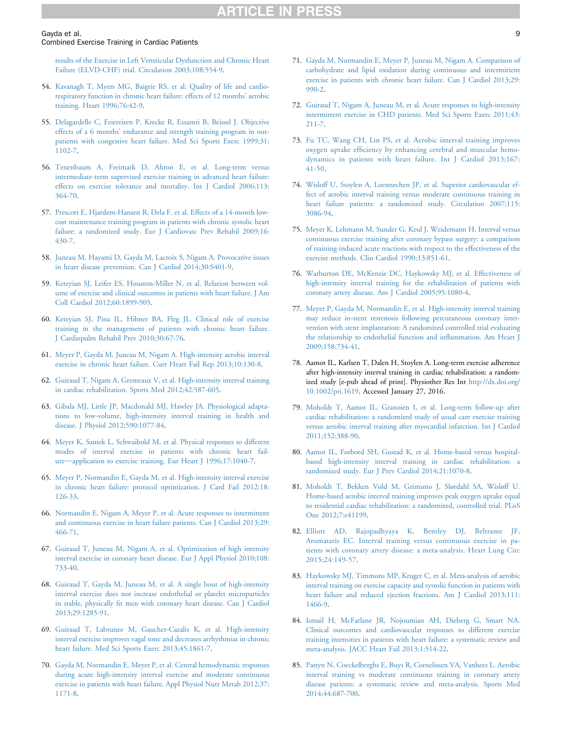#### <span id="page-8-0"></span>Gayda et al. 9

#### Combined Exercise Training in Cardiac Patients

[results of the Exercise in Left Ventricular Dysfunction and Chronic Heart](http://refhub.elsevier.com/S0828-282X(16)00057-X/sref53) [Failure \(ELVD-CHF\) trial. Circulation 2003;108:554-9.](http://refhub.elsevier.com/S0828-282X(16)00057-X/sref53)

- 54. [Kavanagh T, Myers MG, Baigrie RS, et al. Quality of life and cardio](http://refhub.elsevier.com/S0828-282X(16)00057-X/sref54)[respiratory function in chronic heart failure: effects of 12 months](http://refhub.elsevier.com/S0828-282X(16)00057-X/sref54)' aerobic [training. Heart 1996;76:42-9](http://refhub.elsevier.com/S0828-282X(16)00057-X/sref54).
- 55. [Delagardelle C, Feiereisen P, Krecke R, Essamri B, Beissel J. Objective](http://refhub.elsevier.com/S0828-282X(16)00057-X/sref55) effects of a 6 months' [endurance and strength training program in out](http://refhub.elsevier.com/S0828-282X(16)00057-X/sref55)[patients with congestive heart failure. Med Sci Sports Exerc 1999;31:](http://refhub.elsevier.com/S0828-282X(16)00057-X/sref55) [1102-7.](http://refhub.elsevier.com/S0828-282X(16)00057-X/sref55)
- 56. [Tenenbaum A, Freimark D, Ahron E, et al. Long-term versus](http://refhub.elsevier.com/S0828-282X(16)00057-X/sref56) [intermediate-term supervised exercise training in advanced heart failure:](http://refhub.elsevier.com/S0828-282X(16)00057-X/sref56) [effects on exercise tolerance and mortality. Int J Cardiol 2006;113:](http://refhub.elsevier.com/S0828-282X(16)00057-X/sref56) [364-70.](http://refhub.elsevier.com/S0828-282X(16)00057-X/sref56)
- 57. [Prescott E, Hjardem-Hansen R, Dela F, et al. Effects of a 14-month low](http://refhub.elsevier.com/S0828-282X(16)00057-X/sref57)[cost maintenance training program in patients with chronic systolic heart](http://refhub.elsevier.com/S0828-282X(16)00057-X/sref57) [failure: a randomized study. Eur J Cardiovasc Prev Rehabil 2009;16:](http://refhub.elsevier.com/S0828-282X(16)00057-X/sref57) [430-7.](http://refhub.elsevier.com/S0828-282X(16)00057-X/sref57)
- 58. [Juneau M, Hayami D, Gayda M, Lacroix S, Nigam A. Provocative issues](http://refhub.elsevier.com/S0828-282X(16)00057-X/sref58) [in heart disease prevention. Can J Cardiol 2014;30:S401-9.](http://refhub.elsevier.com/S0828-282X(16)00057-X/sref58)
- 59. [Keteyian SJ, Leifer ES, Houston-Miller N, et al. Relation between vol](http://refhub.elsevier.com/S0828-282X(16)00057-X/sref59)[ume of exercise and clinical outcomes in patients with heart failure. J Am](http://refhub.elsevier.com/S0828-282X(16)00057-X/sref59) [Coll Cardiol 2012;60:1899-905.](http://refhub.elsevier.com/S0828-282X(16)00057-X/sref59)
- 60. [Keteyian SJ, Pina IL, Hibner BA, Fleg JL. Clinical role of exercise](http://refhub.elsevier.com/S0828-282X(16)00057-X/sref60) [training in the management of patients with chronic heart failure.](http://refhub.elsevier.com/S0828-282X(16)00057-X/sref60) [J Cardiopulm Rehabil Prev 2010;30:67-76.](http://refhub.elsevier.com/S0828-282X(16)00057-X/sref60)
- 61. [Meyer P, Gayda M, Juneau M, Nigam A. High-intensity aerobic interval](http://refhub.elsevier.com/S0828-282X(16)00057-X/sref61) [exercise in chronic heart failure. Curr Heart Fail Rep 2013;10:130-8.](http://refhub.elsevier.com/S0828-282X(16)00057-X/sref61)
- 62. [Guiraud T, Nigam A, Gremeaux V, et al. High-intensity interval training](http://refhub.elsevier.com/S0828-282X(16)00057-X/sref62) [in cardiac rehabilitation. Sports Med 2012;42:587-605](http://refhub.elsevier.com/S0828-282X(16)00057-X/sref62).
- 63. [Gibala MJ, Little JP, Macdonald MJ, Hawley JA. Physiological adapta](http://refhub.elsevier.com/S0828-282X(16)00057-X/sref63)[tions to low-volume, high-intensity interval training in health and](http://refhub.elsevier.com/S0828-282X(16)00057-X/sref63) [disease. J Physiol 2012;590:1077-84.](http://refhub.elsevier.com/S0828-282X(16)00057-X/sref63)
- 64. [Meyer K, Samek L, Schwaibold M, et al. Physical responses to different](http://refhub.elsevier.com/S0828-282X(16)00057-X/sref64) [modes of interval exercise in patients with chronic heart fail](http://refhub.elsevier.com/S0828-282X(16)00057-X/sref64)[ure](http://refhub.elsevier.com/S0828-282X(16)00057-X/sref64)-[application to exercise training. Eur Heart J 1996;17:1040-7](http://refhub.elsevier.com/S0828-282X(16)00057-X/sref64).
- 65. [Meyer P, Normandin E, Gayda M, et al. High-intensity interval exercise](http://refhub.elsevier.com/S0828-282X(16)00057-X/sref65) [in chronic heart failure: protocol optimization. J Card Fail 2012;18:](http://refhub.elsevier.com/S0828-282X(16)00057-X/sref65) [126-33.](http://refhub.elsevier.com/S0828-282X(16)00057-X/sref65)
- 66. [Normandin E, Nigam A, Meyer P, et al. Acute responses to intermittent](http://refhub.elsevier.com/S0828-282X(16)00057-X/sref66) [and continuous exercise in heart failure patients. Can J Cardiol 2013;29:](http://refhub.elsevier.com/S0828-282X(16)00057-X/sref66) [466-71.](http://refhub.elsevier.com/S0828-282X(16)00057-X/sref66)
- 67. [Guiraud T, Juneau M, Nigam A, et al. Optimization of high intensity](http://refhub.elsevier.com/S0828-282X(16)00057-X/sref67) [interval exercise in coronary heart disease. Eur J Appl Physiol 2010;108:](http://refhub.elsevier.com/S0828-282X(16)00057-X/sref67) [733-40.](http://refhub.elsevier.com/S0828-282X(16)00057-X/sref67)
- 68. [Guiraud T, Gayda M, Juneau M, et al. A single bout of high-intensity](http://refhub.elsevier.com/S0828-282X(16)00057-X/sref68) [interval exercise does not increase endothelial or platelet microparticles](http://refhub.elsevier.com/S0828-282X(16)00057-X/sref68) in stable, physically fi[t men with coronary heart disease. Can J Cardiol](http://refhub.elsevier.com/S0828-282X(16)00057-X/sref68) [2013;29:1285-91.](http://refhub.elsevier.com/S0828-282X(16)00057-X/sref68)
- 69. [Guiraud T, Labrunee M, Gaucher-Cazalis K, et al. High-intensity](http://refhub.elsevier.com/S0828-282X(16)00057-X/sref69) [interval exercise improves vagal tone and decreases arrhythmias in chronic](http://refhub.elsevier.com/S0828-282X(16)00057-X/sref69) [heart failure. Med Sci Sports Exerc 2013;45:1861-7](http://refhub.elsevier.com/S0828-282X(16)00057-X/sref69).
- 70. [Gayda M, Normandin E, Meyer P, et al. Central hemodynamic responses](http://refhub.elsevier.com/S0828-282X(16)00057-X/sref70) [during acute high-intensity interval exercise and moderate continuous](http://refhub.elsevier.com/S0828-282X(16)00057-X/sref70) [exercise in patients with heart failure. Appl Physiol Nutr Metab 2012;37:](http://refhub.elsevier.com/S0828-282X(16)00057-X/sref70) [1171-8.](http://refhub.elsevier.com/S0828-282X(16)00057-X/sref70)
- 71. [Gayda M, Normandin E, Meyer P, Juneau M, Nigam A. Comparison of](http://refhub.elsevier.com/S0828-282X(16)00057-X/sref71) [carbohydrate and lipid oxidation during continuous and intermittent](http://refhub.elsevier.com/S0828-282X(16)00057-X/sref71) [exercise in patients with chronic heart failure. Can J Cardiol 2013;29:](http://refhub.elsevier.com/S0828-282X(16)00057-X/sref71) [990-2.](http://refhub.elsevier.com/S0828-282X(16)00057-X/sref71)
- 72. [Guiraud T, Nigam A, Juneau M, et al. Acute responses to high-intensity](http://refhub.elsevier.com/S0828-282X(16)00057-X/sref72) [intermittent exercise in CHD patients. Med Sci Sports Exerc 2011;43:](http://refhub.elsevier.com/S0828-282X(16)00057-X/sref72) [211-7.](http://refhub.elsevier.com/S0828-282X(16)00057-X/sref72)
- 73. [Fu TC, Wang CH, Lin PS, et al. Aerobic interval training improves](http://refhub.elsevier.com/S0828-282X(16)00057-X/sref73) oxygen uptake effi[ciency by enhancing cerebral and muscular hemo](http://refhub.elsevier.com/S0828-282X(16)00057-X/sref73)[dynamics in patients with heart failure. Int J Cardiol 2013;167:](http://refhub.elsevier.com/S0828-282X(16)00057-X/sref73) [41-50.](http://refhub.elsevier.com/S0828-282X(16)00057-X/sref73)
- 74. [Wisloff U, Stoylen A, Loennechen JP, et al. Superior cardiovascular ef](http://refhub.elsevier.com/S0828-282X(16)00057-X/sref74)[fect of aerobic interval training versus moderate continuous training in](http://refhub.elsevier.com/S0828-282X(16)00057-X/sref74) [heart failure patients: a randomized study. Circulation 2007;115:](http://refhub.elsevier.com/S0828-282X(16)00057-X/sref74) [3086-94.](http://refhub.elsevier.com/S0828-282X(16)00057-X/sref74)
- 75. [Meyer K, Lehmann M, Sunder G, Keul J, Weidemann H. Interval versus](http://refhub.elsevier.com/S0828-282X(16)00057-X/sref75) [continuous exercise training after coronary bypass surgery: a comparison](http://refhub.elsevier.com/S0828-282X(16)00057-X/sref75) [of training-induced acute reactions with respect to the effectiveness of the](http://refhub.elsevier.com/S0828-282X(16)00057-X/sref75) [exercise methods. Clin Cardiol 1990;13:851-61.](http://refhub.elsevier.com/S0828-282X(16)00057-X/sref75)
- 76. [Warburton DE, McKenzie DC, Haykowsky MJ, et al. Effectiveness of](http://refhub.elsevier.com/S0828-282X(16)00057-X/sref76) [high-intensity interval training for the rehabilitation of patients with](http://refhub.elsevier.com/S0828-282X(16)00057-X/sref76) [coronary artery disease. Am J Cardiol 2005;95:1080-4.](http://refhub.elsevier.com/S0828-282X(16)00057-X/sref76)
- 77. [Meyer P, Gayda M, Normandin E, et al. High-intensity interval training](http://refhub.elsevier.com/S0828-282X(16)00057-X/sref77) [may reduce in-stent restenosis following percutaneous coronary inter](http://refhub.elsevier.com/S0828-282X(16)00057-X/sref77)[vention with stent implantation: A randomized controlled trial evaluating](http://refhub.elsevier.com/S0828-282X(16)00057-X/sref77) [the relationship to endothelial function and in](http://refhub.elsevier.com/S0828-282X(16)00057-X/sref77)flammation. Am Heart J [2009;158:734-41.](http://refhub.elsevier.com/S0828-282X(16)00057-X/sref77)
- 78. Aamot IL, Karlsen T, Dalen H, Stoylen A. Long-term exercise adherence after high-intensity interval training in cardiac rehabilitation: a randomized study [e-pub ahead of print]. Physiother Res Int [http://dx.doi.org/](http://dx.doi.org/10.1002/pri.1619) [10.1002/pri.1619](http://dx.doi.org/10.1002/pri.1619). Accessed January 27, 2016.
- 79. [Moholdt T, Aamot IL, Granoien I, et al. Long-term follow-up after](http://refhub.elsevier.com/S0828-282X(16)00057-X/sref79) [cardiac rehabilitation: a randomized study of usual care exercise training](http://refhub.elsevier.com/S0828-282X(16)00057-X/sref79) [versus aerobic interval training after myocardial infarction. Int J Cardiol](http://refhub.elsevier.com/S0828-282X(16)00057-X/sref79) [2011;152:388-90.](http://refhub.elsevier.com/S0828-282X(16)00057-X/sref79)
- 80. [Aamot IL, Forbord SH, Gustad K, et al. Home-based versus hospital](http://refhub.elsevier.com/S0828-282X(16)00057-X/sref80)[based high-intensity interval training in cardiac rehabilitation: a](http://refhub.elsevier.com/S0828-282X(16)00057-X/sref80) [randomized study. Eur J Prev Cardiol 2014;21:1070-8](http://refhub.elsevier.com/S0828-282X(16)00057-X/sref80).
- 81. [Moholdt T, Bekken Vold M, Grimsmo J, Slørdahl SA, Wisløff U.](http://refhub.elsevier.com/S0828-282X(16)00057-X/sref81) [Home-based aerobic interval training improves peak oxygen uptake equal](http://refhub.elsevier.com/S0828-282X(16)00057-X/sref81) [to residential cardiac rehabilitation: a randomized, controlled trial. PLoS](http://refhub.elsevier.com/S0828-282X(16)00057-X/sref81) [One 2012;7:e41199.](http://refhub.elsevier.com/S0828-282X(16)00057-X/sref81)
- 82. [Elliott AD, Rajopadhyaya K, Bentley DJ, Beltrame JF,](http://refhub.elsevier.com/S0828-282X(16)00057-X/sref82) [Aromataris EC. Interval training versus continuous exercise in pa](http://refhub.elsevier.com/S0828-282X(16)00057-X/sref82)[tients with coronary artery disease: a meta-analysis. Heart Lung Circ](http://refhub.elsevier.com/S0828-282X(16)00057-X/sref82) [2015;24:149-57.](http://refhub.elsevier.com/S0828-282X(16)00057-X/sref82)
- 83. [Haykowsky MJ, Timmons MP, Kruger C, et al. Meta-analysis of aerobic](http://refhub.elsevier.com/S0828-282X(16)00057-X/sref83) [interval training on exercise capacity and systolic function in patients with](http://refhub.elsevier.com/S0828-282X(16)00057-X/sref83) [heart failure and reduced ejection fractions. Am J Cardiol 2013;111:](http://refhub.elsevier.com/S0828-282X(16)00057-X/sref83) [1466-9.](http://refhub.elsevier.com/S0828-282X(16)00057-X/sref83)
- 84. [Ismail H, McFarlane JR, Nojoumian AH, Dieberg G, Smart NA.](http://refhub.elsevier.com/S0828-282X(16)00057-X/sref84) [Clinical outcomes and cardiovascular responses to different exercise](http://refhub.elsevier.com/S0828-282X(16)00057-X/sref84) [training intensities in patients with heart failure: a systematic review and](http://refhub.elsevier.com/S0828-282X(16)00057-X/sref84) [meta-analysis. JACC Heart Fail 2013;1:514-22](http://refhub.elsevier.com/S0828-282X(16)00057-X/sref84).
- 85. [Pattyn N, Coeckelberghs E, Buys R, Cornelissen VA, Vanhees L. Aerobic](http://refhub.elsevier.com/S0828-282X(16)00057-X/sref85) [interval training vs moderate continuous training in coronary artery](http://refhub.elsevier.com/S0828-282X(16)00057-X/sref85) [disease patients: a systematic review and meta-analysis. Sports Med](http://refhub.elsevier.com/S0828-282X(16)00057-X/sref85) [2014;44:687-700.](http://refhub.elsevier.com/S0828-282X(16)00057-X/sref85)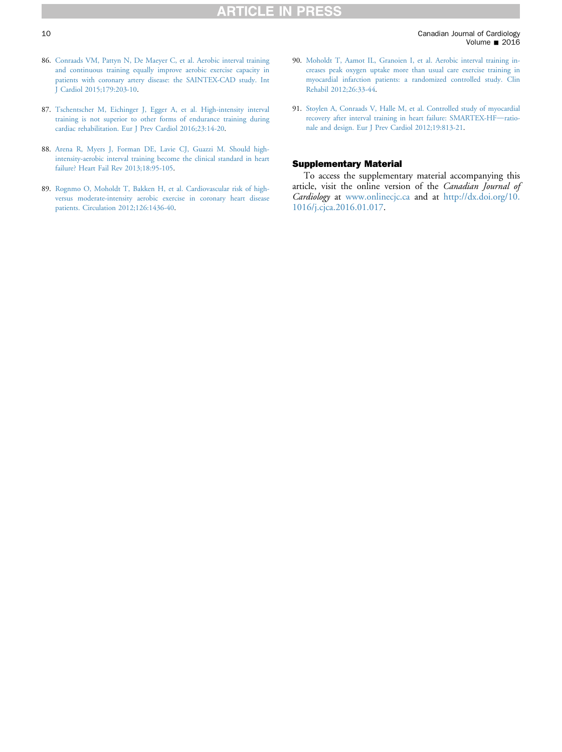- <span id="page-9-0"></span>86. [Conraads VM, Pattyn N, De Maeyer C, et al. Aerobic interval training](http://refhub.elsevier.com/S0828-282X(16)00057-X/sref86) [and continuous training equally improve aerobic exercise capacity in](http://refhub.elsevier.com/S0828-282X(16)00057-X/sref86) [patients with coronary artery disease: the SAINTEX-CAD study. Int](http://refhub.elsevier.com/S0828-282X(16)00057-X/sref86) [J Cardiol 2015;179:203-10.](http://refhub.elsevier.com/S0828-282X(16)00057-X/sref86)
- 87. [Tschentscher M, Eichinger J, Egger A, et al. High-intensity interval](http://refhub.elsevier.com/S0828-282X(16)00057-X/sref87) [training is not superior to other forms of endurance training during](http://refhub.elsevier.com/S0828-282X(16)00057-X/sref87) [cardiac rehabilitation. Eur J Prev Cardiol 2016;23:14-20.](http://refhub.elsevier.com/S0828-282X(16)00057-X/sref87)
- 88. [Arena R, Myers J, Forman DE, Lavie CJ, Guazzi M. Should high](http://refhub.elsevier.com/S0828-282X(16)00057-X/sref88)[intensity-aerobic interval training become the clinical standard in heart](http://refhub.elsevier.com/S0828-282X(16)00057-X/sref88) [failure? Heart Fail Rev 2013;18:95-105](http://refhub.elsevier.com/S0828-282X(16)00057-X/sref88).
- 89. [Rognmo O, Moholdt T, Bakken H, et al. Cardiovascular risk of high](http://refhub.elsevier.com/S0828-282X(16)00057-X/sref89)[versus moderate-intensity aerobic exercise in coronary heart disease](http://refhub.elsevier.com/S0828-282X(16)00057-X/sref89) [patients. Circulation 2012;126:1436-40](http://refhub.elsevier.com/S0828-282X(16)00057-X/sref89).
- 90. [Moholdt T, Aamot IL, Granoien I, et al. Aerobic interval training in](http://refhub.elsevier.com/S0828-282X(16)00057-X/sref90)[creases peak oxygen uptake more than usual care exercise training in](http://refhub.elsevier.com/S0828-282X(16)00057-X/sref90) [myocardial infarction patients: a randomized controlled study. Clin](http://refhub.elsevier.com/S0828-282X(16)00057-X/sref90) [Rehabil 2012;26:33-44.](http://refhub.elsevier.com/S0828-282X(16)00057-X/sref90)
- 91. [Stoylen A, Conraads V, Halle M, et al. Controlled study of myocardial](http://refhub.elsevier.com/S0828-282X(16)00057-X/sref91) [recovery after interval training in heart failure: SMARTEX-HF](http://refhub.elsevier.com/S0828-282X(16)00057-X/sref91)-[ratio](http://refhub.elsevier.com/S0828-282X(16)00057-X/sref91)[nale and design. Eur J Prev Cardiol 2012;19:813-21](http://refhub.elsevier.com/S0828-282X(16)00057-X/sref91).

#### Supplementary Material

To access the supplementary material accompanying this article, visit the online version of the Canadian Journal of Cardiology at [www.onlinecjc.ca](http://www.onlinecjc.ca) and at [http://dx.doi.org/10.](http://dx.doi.org/10.1016/j.cjca.2016.01.017) [1016/j.cjca.2016.01.017](http://dx.doi.org/10.1016/j.cjca.2016.01.017).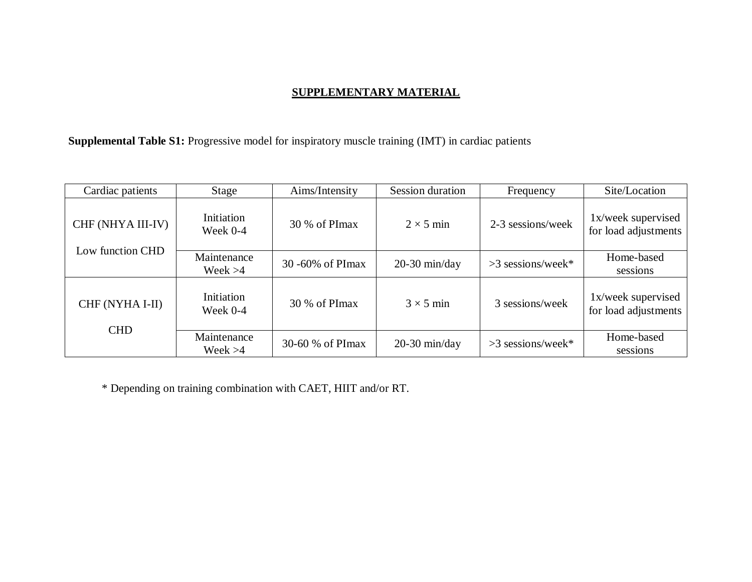## **SUPPLEMENTARY MATERIAL**

**Supplemental Table S1:** Progressive model for inspiratory muscle training (IMT) in cardiac patients

| Cardiac patients                      | Stage                    | Aims/Intensity   | Session duration | Frequency           | Site/Location                              |
|---------------------------------------|--------------------------|------------------|------------------|---------------------|--------------------------------------------|
| CHF (NHYA III-IV)<br>Low function CHD | Initiation<br>Week $0-4$ | 30 % of PImax    | $2 \times 5$ min | 2-3 sessions/week   | 1x/week supervised<br>for load adjustments |
|                                       | Maintenance<br>Week $>4$ | 30 -60% of PImax | $20-30$ min/day  | $>3$ sessions/week* | Home-based<br>sessions                     |
| CHF (NYHA I-II)<br><b>CHD</b>         | Initiation<br>Week $0-4$ | 30 % of PImax    | $3 \times 5$ min | 3 sessions/week     | 1x/week supervised<br>for load adjustments |
|                                       | Maintenance<br>Week $>4$ | 30-60 % of PImax | $20-30$ min/day  | $>3$ sessions/week* | Home-based<br>sessions                     |

\* Depending on training combination with CAET, HIIT and/or RT.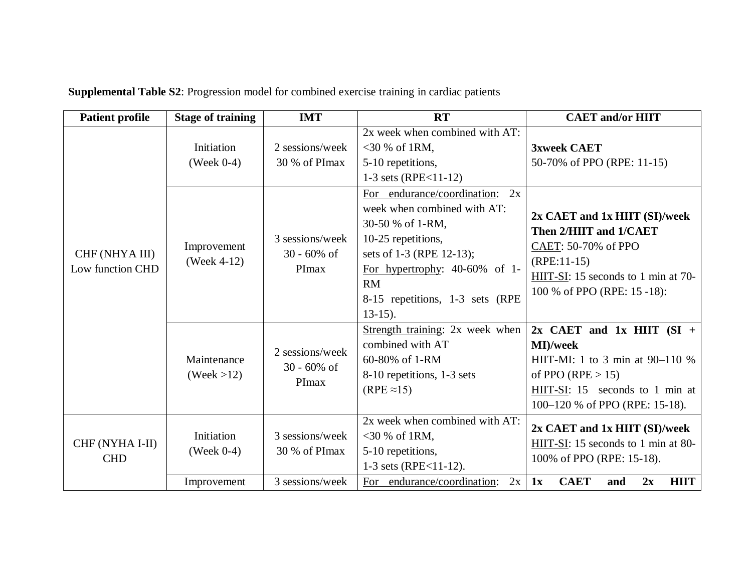| <b>Patient profile</b>             | <b>Stage of training</b>    | <b>IMT</b>                                         | <b>RT</b>                                                                                                                                                                                                                             | <b>CAET</b> and/or HIIT                                                                                                                                                   |
|------------------------------------|-----------------------------|----------------------------------------------------|---------------------------------------------------------------------------------------------------------------------------------------------------------------------------------------------------------------------------------------|---------------------------------------------------------------------------------------------------------------------------------------------------------------------------|
|                                    | Initiation<br>(Week $0-4$ ) | 2 sessions/week<br>30 % of PImax                   | 2x week when combined with AT:<br>$<$ 30 % of 1RM,<br>5-10 repetitions,<br>1-3 sets (RPE $<$ 11-12)                                                                                                                                   | <b>3xweek CAET</b><br>50-70% of PPO (RPE: 11-15)                                                                                                                          |
| CHF (NHYA III)<br>Low function CHD | Improvement<br>(Week 4-12)  | 3 sessions/week<br>$30 - 60\% \text{ of}$<br>PImax | For endurance/coordination: 2x<br>week when combined with AT:<br>30-50 % of 1-RM,<br>10-25 repetitions,<br>sets of 1-3 (RPE 12-13);<br>For hypertrophy: $40-60\%$ of 1-<br><b>RM</b><br>8-15 repetitions, 1-3 sets (RPE<br>$13-15$ ). | 2x CAET and 1x HIIT (SI)/week<br>Then 2/HIIT and 1/CAET<br>CAET: 50-70% of PPO<br>$(RPE:11-15)$<br>HIIT-SI: 15 seconds to 1 min at 70-<br>100 % of PPO (RPE: 15 -18):     |
|                                    | Maintenance<br>(Week > 12)  | 2 sessions/week<br>$30 - 60\% \text{ of}$<br>PImax | Strength training: 2x week when<br>combined with AT<br>60-80% of 1-RM<br>8-10 repetitions, 1-3 sets<br>$(RPE \approx 15)$                                                                                                             | $2x$ CAET and 1x HIIT (SI +<br>MI)/week<br>HIIT-MI: 1 to 3 min at $90-110$ %<br>of PPO (RPE $> 15$ )<br>HIIT-SI: 15 seconds to 1 min at<br>100–120 % of PPO (RPE: 15-18). |
| CHF (NYHA I-II)<br><b>CHD</b>      | Initiation<br>(Week $0-4$ ) | 3 sessions/week<br>30 % of PImax                   | 2x week when combined with AT:<br>$<$ 30 % of 1RM,<br>5-10 repetitions,<br>1-3 sets (RPE $<$ 11-12).                                                                                                                                  | $2x$ CAET and $1x$ HIIT (SI)/week<br>HIIT-SI: 15 seconds to 1 min at 80-<br>100% of PPO (RPE: 15-18).                                                                     |
|                                    | Improvement                 | 3 sessions/week                                    | For endurance/coordination:<br>2x                                                                                                                                                                                                     | <b>HIIT</b><br><b>CAET</b><br>1x<br>and<br>2x                                                                                                                             |

**Supplemental Table S2**: Progression model for combined exercise training in cardiac patients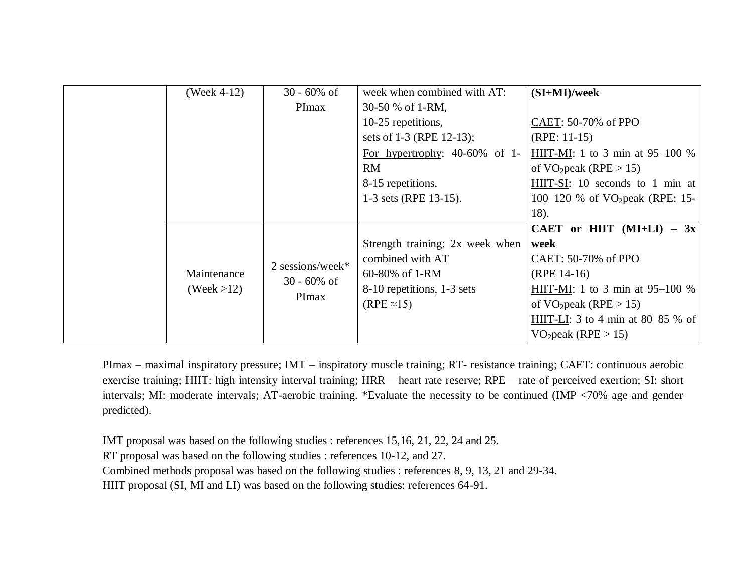|  | (Week 4-12)            | $30 - 60\% \text{ of}$                              | week when combined with AT:      | $(SI+MI)/week$                     |
|--|------------------------|-----------------------------------------------------|----------------------------------|------------------------------------|
|  |                        | PImax                                               | 30-50 % of 1-RM,                 |                                    |
|  |                        |                                                     | 10-25 repetitions,               | CAET: 50-70% of PPO                |
|  |                        |                                                     | sets of 1-3 (RPE 12-13);         | $(RPE: 11-15)$                     |
|  |                        |                                                     | For hypertrophy: $40-60\%$ of 1- | HIIT-MI: 1 to 3 min at $95-100$ %  |
|  |                        |                                                     | <b>RM</b>                        | of $VO_2$ peak (RPE > 15)          |
|  |                        |                                                     | 8-15 repetitions,                | HIIT-SI: 10 seconds to 1 min at    |
|  |                        |                                                     | 1-3 sets (RPE 13-15).            | 100–120 % of $VO_2$ peak (RPE: 15– |
|  |                        |                                                     |                                  | 18).                               |
|  |                        |                                                     |                                  | CAET or HIIT $(MI+LI)$ - 3x        |
|  |                        | 2 sessions/week*<br>$30 - 60\% \text{ of}$<br>PImax | Strength training: 2x week when  | week                               |
|  |                        |                                                     | combined with AT                 | CAET: 50-70% of PPO                |
|  | Maintenance            |                                                     | 60-80% of 1-RM                   | $(RPE 14-16)$                      |
|  | $( \text{Week} > 12 )$ |                                                     | 8-10 repetitions, 1-3 sets       | HIIT-MI: 1 to 3 min at $95-100$ %  |
|  |                        |                                                     | $(RPE \approx 15)$               | of $VO_2$ peak (RPE > 15)          |
|  |                        |                                                     |                                  | HIIT-LI: 3 to 4 min at 80–85 % of  |
|  |                        |                                                     |                                  | VO <sub>2</sub> peak (RPE > 15)    |

PImax – maximal inspiratory pressure; IMT – inspiratory muscle training; RT- resistance training; CAET: continuous aerobic exercise training; HIIT: high intensity interval training; HRR – heart rate reserve; RPE – rate of perceived exertion; SI: short intervals; MI: moderate intervals; AT-aerobic training. \*Evaluate the necessity to be continued (IMP <70% age and gender predicted).

IMT proposal was based on the following studies : references 15,16, 21, 22, 24 and 25.

RT proposal was based on the following studies : references 10-12, and 27.

Combined methods proposal was based on the following studies : references 8, 9, 13, 21 and 29-34.

HIIT proposal (SI, MI and LI) was based on the following studies: references 64-91.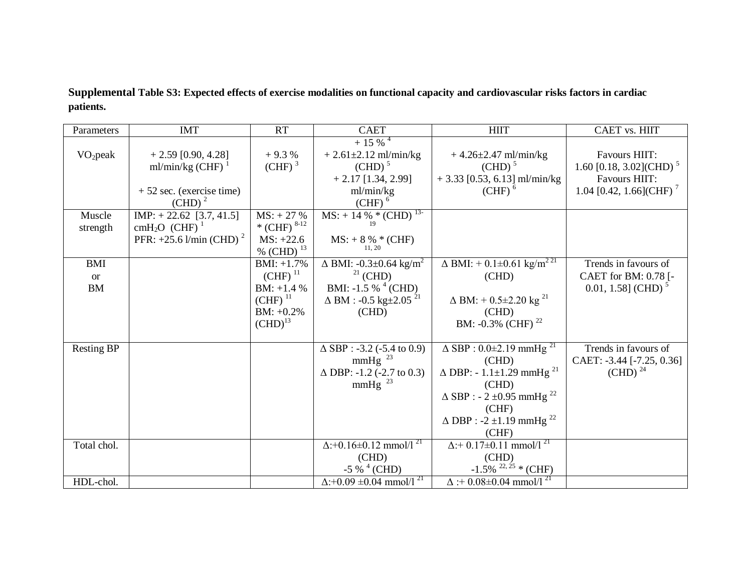**Supplemental Table S3: Expected effects of exercise modalities on functional capacity and cardiovascular risks factors in cardiac patients.**

| Parameters           | <b>IMT</b>                            | <b>RT</b>                 | <b>CAET</b>                                | <b>HIIT</b>                                                      | CAET vs. HIIT                       |
|----------------------|---------------------------------------|---------------------------|--------------------------------------------|------------------------------------------------------------------|-------------------------------------|
|                      |                                       |                           | $+15\%$ <sup>4</sup>                       |                                                                  |                                     |
| VO <sub>2</sub> peak | $+ 2.59 [0.90, 4.28]$                 | $+9.3%$                   | $+ 2.61 \pm 2.12$ ml/min/kg                | $+4.26 \pm 2.47$ ml/min/kg                                       | <b>Favours HIIT:</b>                |
|                      | ml/min/kg (CHF) $^{-1}$               | (CHF) <sup>3</sup>        | $\text{(CHD)}^5$                           | $\text{(CHD)}^5$                                                 | 1.60 [0.18, 3.02](CHD) <sup>5</sup> |
|                      |                                       |                           | $+2.17$ [1.34, 2.99]                       | $+3.33$ [0.53, 6.13] ml/min/kg                                   | <b>Favours HIIT:</b>                |
|                      | $+52$ sec. (exercise time)            |                           | ml/min/kg                                  | $(CHF)$ <sup>6</sup>                                             | 1.04 [0.42, 1.66](CHF) <sup>7</sup> |
|                      | $\text{(CHD)}^2$                      |                           | $(CHF)$ <sup>6</sup>                       |                                                                  |                                     |
| Muscle               | $IMP: + 22.62 [3.7, 41.5]$            | $MS: + 27 %$              | $MS: + 14 \% * (CHD)13$<br>19              |                                                                  |                                     |
| strength             | cmH <sub>2</sub> O (CHF) <sup>1</sup> | * (CHF) $8-12$            |                                            |                                                                  |                                     |
|                      | PFR: $+25.6$ l/min (CHD) <sup>2</sup> | $MS: +22.6$               | $MS: + 8 \% * (CHF)$<br>11, 20             |                                                                  |                                     |
|                      |                                       | $\frac{\% (CHD)^{13}}{2}$ |                                            |                                                                  |                                     |
| <b>BMI</b>           |                                       | $BMI: +1.7%$              | $\Delta$ BMI: -0.3±0.64 kg/m <sup>2</sup>  | $\Delta$ BMI: + 0.1±0.61 $\frac{1}{\text{kg/m}^2}$ <sup>21</sup> | Trends in favours of                |
| <b>or</b>            |                                       | $(CHF)^{11}$              | $21$ (CHD)                                 | (CHD)                                                            | CAET for BM: 0.78 [-                |
| BM                   |                                       | $BM: +1.4 %$              | BMI: -1.5 % $^{4}$ (CHD)                   |                                                                  | $0.01, 1.58$ (CHD) <sup>5</sup>     |
|                      |                                       | $(CHF)$ <sup>11</sup>     | $\Delta$ BM : -0.5 kg±2.05 $^{21}$         | $\Delta$ BM: + 0.5±2.20 kg <sup>21</sup>                         |                                     |
|                      |                                       | $BM: +0.2\%$              | (CHD)                                      | (CHD)                                                            |                                     |
|                      |                                       | $\text{(CHD)}^{13}$       |                                            | BM: -0.3% (CHF) $^{22}$                                          |                                     |
| <b>Resting BP</b>    |                                       |                           | $\Delta$ SBP : -3.2 (-5.4 to 0.9)          | $\Delta$ SBP : 0.0 $\pm$ 2.19 mmHg <sup>21</sup>                 | Trends in favours of                |
|                      |                                       |                           | mmHg <sup>23</sup>                         | (CHD)                                                            | CAET: -3.44 [-7.25, 0.36]           |
|                      |                                       |                           | $\Delta$ DBP: -1.2 (-2.7 to 0.3)           | $\Delta$ DBP: - 1.1±1.29 mmHg <sup>21</sup>                      | $\text{(CHD)}^{24}$                 |
|                      |                                       |                           | mmHg <sup>23</sup>                         | (CHD)                                                            |                                     |
|                      |                                       |                           |                                            | $\Delta$ SBP : - 2 ±0.95 mmHg <sup>22</sup>                      |                                     |
|                      |                                       |                           |                                            | (CHF)                                                            |                                     |
|                      |                                       |                           |                                            | $\triangle$ DBP : -2 ±1.19 mmHg <sup>22</sup>                    |                                     |
|                      |                                       |                           |                                            | (CHF)                                                            |                                     |
| Total chol.          |                                       |                           | $\Delta$ :+0.16±0.12 mmol/1 <sup>21</sup>  | $\Delta$ :+ $\overline{0.17\pm 0.11}$ mmol/1 <sup>21</sup>       |                                     |
|                      |                                       |                           | (CHD)                                      | (CHD)                                                            |                                     |
|                      |                                       |                           | $-5\%$ <sup>4</sup> (CHD)                  | $-1.5\%$ <sup>22, 25</sup> * (CHF)                               |                                     |
| HDL-chol.            |                                       |                           | $\Delta$ :+0.09 ±0.04 mmol/1 <sup>21</sup> | $\Delta$ :+ 0.08±0.04 mmol/1 <sup>21</sup>                       |                                     |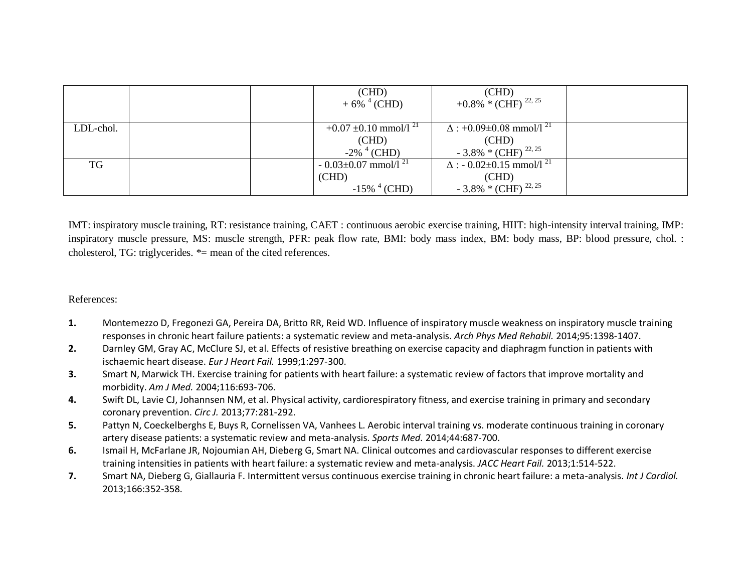|           |  | (CHD)<br>$+6\%$ <sup>4</sup> (CHD)                                          | (CHD)<br>+0.8% * (CHF) <sup>22, 25</sup>                                                   |  |
|-----------|--|-----------------------------------------------------------------------------|--------------------------------------------------------------------------------------------|--|
| LDL-chol. |  | $+0.07 \pm 0.10$ mmol/1 <sup>21</sup><br>(CHD)<br>$-2\%$ <sup>4</sup> (CHD) | $\Delta$ : +0.09±0.08 mmol/l <sup>21</sup><br>(CHD)<br>$-3.8\%$ * (CHF) $^{22,25}$         |  |
| TG        |  | $-0.03\pm0.07$ mmol/l <sup>21</sup><br>(CHD)<br>$-15\%$ <sup>4</sup> (CHD)  | $\Delta$ : - 0.02±0.15 mmol/1 <sup>21</sup><br>(CHD)<br>$-3.8\%$ * (CHF) <sup>22, 25</sup> |  |

IMT: inspiratory muscle training, RT: resistance training, CAET : continuous aerobic exercise training, HIIT: high-intensity interval training, IMP: inspiratory muscle pressure, MS: muscle strength, PFR: peak flow rate, BMI: body mass index, BM: body mass, BP: blood pressure, chol. : cholesterol, TG: triglycerides. \*= mean of the cited references.

### References:

- **1.** Montemezzo D, Fregonezi GA, Pereira DA, Britto RR, Reid WD. Influence of inspiratory muscle weakness on inspiratory muscle training responses in chronic heart failure patients: a systematic review and meta-analysis. *Arch Phys Med Rehabil.* 2014;95:1398-1407.
- **2.** Darnley GM, Gray AC, McClure SJ, et al. Effects of resistive breathing on exercise capacity and diaphragm function in patients with ischaemic heart disease. *Eur J Heart Fail.* 1999;1:297-300.
- **3.** Smart N, Marwick TH. Exercise training for patients with heart failure: a systematic review of factors that improve mortality and morbidity. *Am J Med.* 2004;116:693-706.
- **4.** Swift DL, Lavie CJ, Johannsen NM, et al. Physical activity, cardiorespiratory fitness, and exercise training in primary and secondary coronary prevention. *Circ J.* 2013;77:281-292.
- **5.** Pattyn N, Coeckelberghs E, Buys R, Cornelissen VA, Vanhees L. Aerobic interval training vs. moderate continuous training in coronary artery disease patients: a systematic review and meta-analysis. *Sports Med.* 2014;44:687-700.
- **6.** Ismail H, McFarlane JR, Nojoumian AH, Dieberg G, Smart NA. Clinical outcomes and cardiovascular responses to different exercise training intensities in patients with heart failure: a systematic review and meta-analysis. *JACC Heart Fail.* 2013;1:514-522.
- **7.** Smart NA, Dieberg G, Giallauria F. Intermittent versus continuous exercise training in chronic heart failure: a meta-analysis. *Int J Cardiol.* 2013;166:352-358.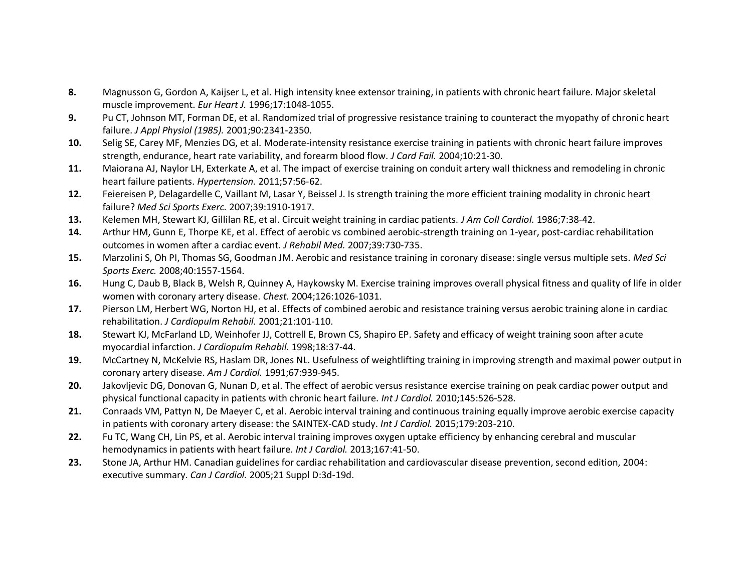- **8.** Magnusson G, Gordon A, Kaijser L, et al. High intensity knee extensor training, in patients with chronic heart failure. Major skeletal muscle improvement. *Eur Heart J.* 1996;17:1048-1055.
- **9.** Pu CT, Johnson MT, Forman DE, et al. Randomized trial of progressive resistance training to counteract the myopathy of chronic heart failure. *J Appl Physiol (1985).* 2001;90:2341-2350.
- **10.** Selig SE, Carey MF, Menzies DG, et al. Moderate-intensity resistance exercise training in patients with chronic heart failure improves strength, endurance, heart rate variability, and forearm blood flow. *J Card Fail.* 2004;10:21-30.
- **11.** Maiorana AJ, Naylor LH, Exterkate A, et al. The impact of exercise training on conduit artery wall thickness and remodeling in chronic heart failure patients. *Hypertension.* 2011;57:56-62.
- **12.** Feiereisen P, Delagardelle C, Vaillant M, Lasar Y, Beissel J. Is strength training the more efficient training modality in chronic heart failure? *Med Sci Sports Exerc.* 2007;39:1910-1917.
- **13.** Kelemen MH, Stewart KJ, Gillilan RE, et al. Circuit weight training in cardiac patients. *J Am Coll Cardiol.* 1986;7:38-42.
- **14.** Arthur HM, Gunn E, Thorpe KE, et al. Effect of aerobic vs combined aerobic-strength training on 1-year, post-cardiac rehabilitation outcomes in women after a cardiac event. *J Rehabil Med.* 2007;39:730-735.
- **15.** Marzolini S, Oh PI, Thomas SG, Goodman JM. Aerobic and resistance training in coronary disease: single versus multiple sets. *Med Sci Sports Exerc.* 2008;40:1557-1564.
- **16.** Hung C, Daub B, Black B, Welsh R, Quinney A, Haykowsky M. Exercise training improves overall physical fitness and quality of life in older women with coronary artery disease. *Chest.* 2004;126:1026-1031.
- **17.** Pierson LM, Herbert WG, Norton HJ, et al. Effects of combined aerobic and resistance training versus aerobic training alone in cardiac rehabilitation. *J Cardiopulm Rehabil.* 2001;21:101-110.
- **18.** Stewart KJ, McFarland LD, Weinhofer JJ, Cottrell E, Brown CS, Shapiro EP. Safety and efficacy of weight training soon after acute myocardial infarction. *J Cardiopulm Rehabil.* 1998;18:37-44.
- **19.** McCartney N, McKelvie RS, Haslam DR, Jones NL. Usefulness of weightlifting training in improving strength and maximal power output in coronary artery disease. *Am J Cardiol.* 1991;67:939-945.
- **20.** Jakovljevic DG, Donovan G, Nunan D, et al. The effect of aerobic versus resistance exercise training on peak cardiac power output and physical functional capacity in patients with chronic heart failure. *Int J Cardiol.* 2010;145:526-528.
- **21.** Conraads VM, Pattyn N, De Maeyer C, et al. Aerobic interval training and continuous training equally improve aerobic exercise capacity in patients with coronary artery disease: the SAINTEX-CAD study. *Int J Cardiol.* 2015;179:203-210.
- **22.** Fu TC, Wang CH, Lin PS, et al. Aerobic interval training improves oxygen uptake efficiency by enhancing cerebral and muscular hemodynamics in patients with heart failure. *Int J Cardiol.* 2013;167:41-50.
- **23.** Stone JA, Arthur HM. Canadian guidelines for cardiac rehabilitation and cardiovascular disease prevention, second edition, 2004: executive summary. *Can J Cardiol.* 2005;21 Suppl D:3d-19d.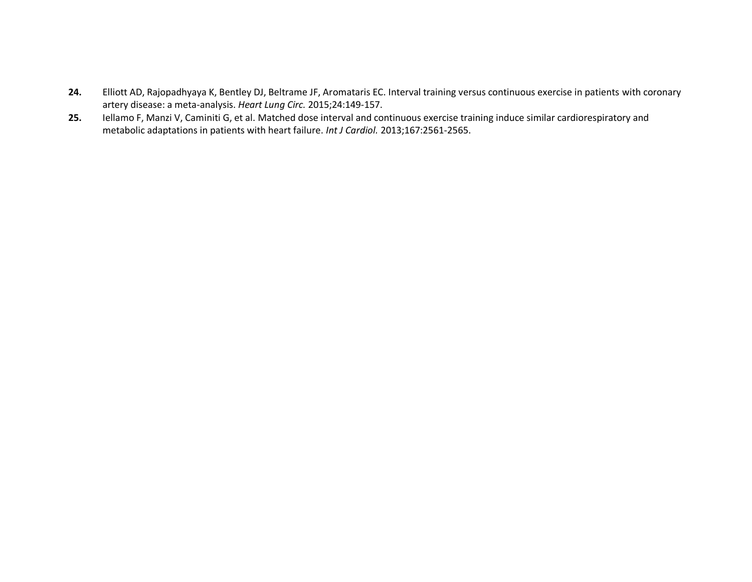- **24.** Elliott AD, Rajopadhyaya K, Bentley DJ, Beltrame JF, Aromataris EC. Interval training versus continuous exercise in patients with coronary artery disease: a meta-analysis. *Heart Lung Circ.* 2015;24:149-157.
- **25.** Iellamo F, Manzi V, Caminiti G, et al. Matched dose interval and continuous exercise training induce similar cardiorespiratory and metabolic adaptations in patients with heart failure. *Int J Cardiol.* 2013;167:2561-2565.